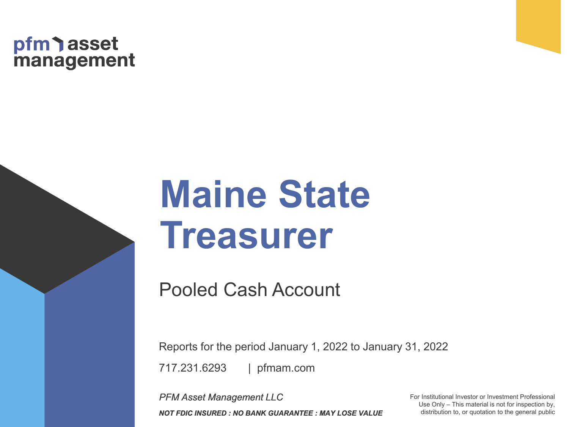## pfm asset<br>management

# **Maine State Treasurer**

Pooled Cash Account

| pfmam.com 717.231.6293 Reports for the period January 1, 2022 to January 31, 2022

*PFM Asset Management LLC NOT FDIC INSURED : NO BANK GUARANTEE : MAY LOSE VALUE* For Institutional Investor or Investment Professional Use Only – This material is not for inspection by, distribution to, or quotation to the general public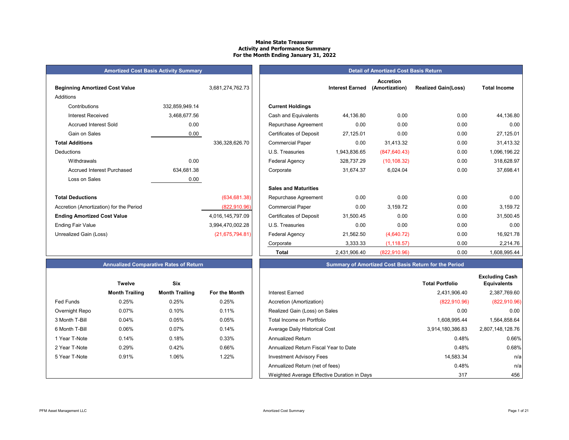#### **Maine State Treasurer Activity and Performance Summary For the Month Ending January 31, 2022**

| <b>Amortized Cost Basis Activity Summa</b> |  |
|--------------------------------------------|--|
|                                            |  |

| <b>Beginning Amortized Cost Value</b>   |                | 3,681,274,762.73  |                                | <b>Interest Earned</b> |
|-----------------------------------------|----------------|-------------------|--------------------------------|------------------------|
| Additions                               |                |                   |                                |                        |
| Contributions                           | 332,859,949.14 |                   | <b>Current Holdings</b>        |                        |
| <b>Interest Received</b>                | 3,468,677.56   |                   | Cash and Equivalents           | 44,136.80              |
| <b>Accrued Interest Sold</b>            | 0.00           |                   | Repurchase Agreement           | 0.00                   |
| Gain on Sales                           | 0.00           |                   | <b>Certificates of Deposit</b> | 27,125.01              |
| <b>Total Additions</b>                  |                | 336,328,626.70    | <b>Commercial Paper</b>        | 0.00                   |
| Deductions                              |                |                   | U.S. Treasuries                | 1,943,836.65           |
| Withdrawals                             | 0.00           |                   | <b>Federal Agency</b>          | 328,737.29             |
| <b>Accrued Interest Purchased</b>       | 634,681.38     |                   | Corporate                      | 31,674.37              |
| Loss on Sales                           | 0.00           |                   |                                |                        |
|                                         |                |                   | <b>Sales and Maturities</b>    |                        |
| <b>Total Deductions</b>                 |                | (634, 681.38)     | Repurchase Agreement           | 0.00                   |
| Accretion (Amortization) for the Period |                | (822, 910.96)     | <b>Commercial Paper</b>        | 0.00                   |
| <b>Ending Amortized Cost Value</b>      |                | 4,016,145,797.09  | <b>Certificates of Deposit</b> | 31,500.45              |
| <b>Ending Fair Value</b>                |                | 3,994,470,002.28  | U.S. Treasuries                | 0.00                   |
| Unrealized Gain (Loss)                  |                | (21, 675, 794.81) | Federal Agency                 | 21,562.50              |
|                                         |                |                   |                                | 0.0000                 |

| <b>Amortized Cost Basis Activity Summary</b> |                |                   |  |                                |                        | <b>Detail of Amortized Cost Basis Return</b> |                            |                     |
|----------------------------------------------|----------------|-------------------|--|--------------------------------|------------------------|----------------------------------------------|----------------------------|---------------------|
| <b>Beginning Amortized Cost Value</b>        |                | 3,681,274,762.73  |  |                                | <b>Interest Earned</b> | <b>Accretion</b><br>(Amortization)           | <b>Realized Gain(Loss)</b> | <b>Total Income</b> |
| Additions                                    |                |                   |  |                                |                        |                                              |                            |                     |
| Contributions                                | 332,859,949.14 |                   |  | <b>Current Holdings</b>        |                        |                                              |                            |                     |
| <b>Interest Received</b>                     | 3,468,677.56   |                   |  | Cash and Equivalents           | 44.136.80              | 0.00                                         | 0.00                       | 44,136.80           |
| <b>Accrued Interest Sold</b>                 | 0.00           |                   |  | Repurchase Agreement           | 0.00                   | 0.00                                         | 0.00                       | 0.00                |
| Gain on Sales                                | 0.00           |                   |  | <b>Certificates of Deposit</b> | 27,125.01              | 0.00                                         | 0.00                       | 27,125.01           |
| <b>Total Additions</b>                       |                | 336,328,626.70    |  | <b>Commercial Paper</b>        | 0.00                   | 31,413.32                                    | 0.00                       | 31,413.32           |
| Deductions                                   |                |                   |  | U.S. Treasuries                | 1,943,836.65           | (847, 640.43)                                | 0.00                       | 1,096,196.22        |
| Withdrawals                                  | 0.00           |                   |  | <b>Federal Agency</b>          | 328,737.29             | (10, 108.32)                                 | 0.00                       | 318,628.97          |
| <b>Accrued Interest Purchased</b>            | 634,681.38     |                   |  | Corporate                      | 31,674.37              | 6,024.04                                     | 0.00                       | 37,698.41           |
| Loss on Sales                                | 0.00           |                   |  |                                |                        |                                              |                            |                     |
|                                              |                |                   |  | <b>Sales and Maturities</b>    |                        |                                              |                            |                     |
| Total Deductions                             |                | (634, 681.38)     |  | Repurchase Agreement           | 0.00                   | 0.00                                         | 0.00                       | 0.00                |
| Accretion (Amortization) for the Period      |                | (822, 910.96)     |  | <b>Commercial Paper</b>        | 0.00                   | 3,159.72                                     | 0.00                       | 3,159.72            |
| <b>Ending Amortized Cost Value</b>           |                | 4,016,145,797.09  |  | <b>Certificates of Deposit</b> | 31,500.45              | 0.00                                         | 0.00                       | 31,500.45           |
| Ending Fair Value                            |                | 3,994,470,002.28  |  | U.S. Treasuries                | 0.00                   | 0.00                                         | 0.00                       | 0.00                |
| Unrealized Gain (Loss)                       |                | (21, 675, 794.81) |  | Federal Agency                 | 21,562.50              | (4,640.72)                                   | 0.00                       | 16,921.78           |
|                                              |                |                   |  | Corporate                      | 3,333.33               | (1, 118.57)                                  | 0.00                       | 2,214.76            |
|                                              |                |                   |  | <b>Total</b>                   | 2,431,906.40           | (822, 910.96)                                | 0.00                       | 1,608,995.44        |

#### **Summary of Amortized Cost Basis Return for the Period**

|                  | <b>Twelve</b>         | <b>Six</b>            |               |                                             | <b>Total Portfolio</b> |
|------------------|-----------------------|-----------------------|---------------|---------------------------------------------|------------------------|
|                  | <b>Month Trailing</b> | <b>Month Trailing</b> | For the Month | <b>Interest Earned</b>                      | 2,431,906.40           |
| <b>Fed Funds</b> | 0.25%                 | 0.25%                 | 0.25%         | Accretion (Amortization)                    | (822, 910.96)          |
| Overnight Repo   | 0.07%                 | 0.10%                 | 0.11%         | Realized Gain (Loss) on Sales               | 0.00                   |
| 3 Month T-Bill   | 0.04%                 | 0.05%                 | 0.05%         | Total Income on Portfolio                   | 1,608,995.44           |
| 6 Month T-Bill   | 0.06%                 | $0.07\%$              | 0.14%         | Average Daily Historical Cost               | 3,914,180,386.83       |
| 1 Year T-Note    | 0.14%                 | 0.18%                 | 0.33%         | Annualized Return                           | 0.48%                  |
| 2 Year T-Note    | 0.29%                 | 0.42%                 | 0.66%         | Annualized Return Fiscal Year to Date       | 0.48%                  |
| 5 Year T-Note    | 0.91%                 | 1.06%                 | 1.22%         | <b>Investment Advisory Fees</b>             | 14,583.34              |
|                  |                       |                       |               | Annualized Return (net of fees)             | 0.48%                  |
|                  |                       |                       |               | Weighted Average Effective Duration in Days | 317                    |

|  |  | <b>Annualized Comparative Rates of Retur</b> |
|--|--|----------------------------------------------|
|--|--|----------------------------------------------|

|                | <b>Twelve</b>         | Six                   |                      |
|----------------|-----------------------|-----------------------|----------------------|
|                | <b>Month Trailing</b> | <b>Month Trailing</b> | <b>For the Month</b> |
| Fed Funds      | 0.25%                 | 0.25%                 | 0.25%                |
| Overnight Repo | 0.07%                 | 0.10%                 | 0.11%                |
| 3 Month T-Bill | 0.04%                 | 0.05%                 | 0.05%                |
| 6 Month T-Bill | 0.06%                 | $0.07\%$              | 0.14%                |
| 1 Year T-Note  | 0.14%                 | 0.18%                 | 0.33%                |
| 2 Year T-Note  | 0.29%                 | 0.42%                 | 0.66%                |
| 5 Year T-Note  | 0.91%                 | 1.06%                 | 1.22%                |
|                |                       |                       |                      |
|                |                       |                       |                      |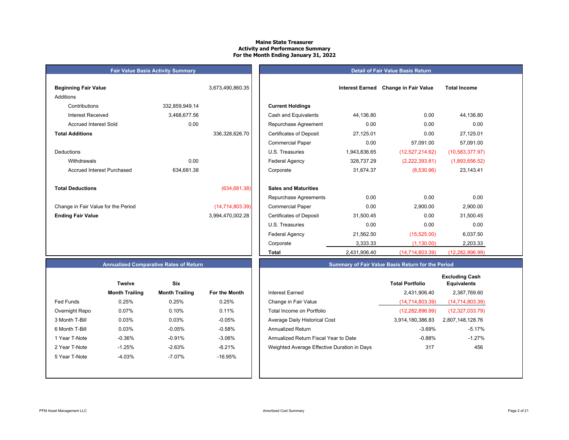#### **Maine State TreasurerActivity and Performance Summary For the Month Ending January 31, 2022**

### **Beginning Fair Value 1.2 <b>Interest Earned 1.6 <b>Interest Earned Earned Earned 3,673,490,860.35** Additions Contributions 332,859,949.14 **Current Holdings** Accrued Interest Sold 0.00 **Total Additions**DeductionsAccrued Interest Purchased 634,681.38 **Total Deductions** $(634,681.38)$ Change in Fair Value for the Period (14,714,803.39) **Ending Fair Value** 3,994,470,002.28

**Fair Value Basis Activity Summary**

| ning Fair Value                   |                | 3,673,490,860.35 |                                | <b>Interest Earned</b> | <b>Change in Fair Value</b> | <b>Total Income</b> |
|-----------------------------------|----------------|------------------|--------------------------------|------------------------|-----------------------------|---------------------|
| ons                               |                |                  |                                |                        |                             |                     |
| Contributions                     | 332,859,949.14 |                  | <b>Current Holdings</b>        |                        |                             |                     |
| Interest Received                 | 3,468,677.56   |                  | Cash and Equivalents           | 44,136.80              | 0.00                        | 44,136.80           |
| <b>Accrued Interest Sold</b>      | 0.00           |                  | Repurchase Agreement           | 0.00                   | 0.00                        | 0.00                |
| <b>Additions</b>                  |                | 336,328,626.70   | <b>Certificates of Deposit</b> | 27,125.01              | 0.00                        | 27,125.01           |
|                                   |                |                  | <b>Commercial Paper</b>        | 0.00                   | 57,091.00                   | 57,091.00           |
| ctions                            |                |                  | U.S. Treasuries                | 1,943,836.65           | (12,527,214.62)             | (10,583,377.97)     |
| Withdrawals                       | 0.00           |                  | <b>Federal Agency</b>          | 328,737.29             | (2,222,393.81)              | (1,893,656.52)      |
| <b>Accrued Interest Purchased</b> | 634,681.38     |                  | Corporate                      | 31,674.37              | (8,530.96)                  | 23,143.41           |
| <b>Deductions</b>                 |                | (634, 681.38)    | <b>Sales and Maturities</b>    |                        |                             |                     |
|                                   |                |                  | Repurchase Agreements          | 0.00                   | 0.00                        | 0.00                |
| ge in Fair Value for the Period   |                | (14,714,803.39)  | <b>Commercial Paper</b>        | 0.00                   | 2,900.00                    | 2,900.00            |
| g Fair Value                      |                | 3,994,470,002.28 | <b>Certificates of Deposit</b> | 31,500.45              | 0.00                        | 31,500.45           |
|                                   |                |                  | U.S. Treasuries                | 0.00                   | 0.00                        | 0.00                |
|                                   |                |                  | Federal Agency                 | 21,562.50              | (15,525.00)                 | 6,037.50            |
|                                   |                |                  | Corporate                      | 3,333.33               | (1, 130.00)                 | 2,203.33            |
|                                   |                |                  | Total                          | 2,431,906.40           | (14,714,803.39)             | (12, 282, 896.99)   |

**Detail of Fair Value Basis Return**

#### **Annualized Comparative Rates of Return**

|                | Twelve                | Six                   |                      |
|----------------|-----------------------|-----------------------|----------------------|
|                | <b>Month Trailing</b> | <b>Month Trailing</b> | <b>For the Month</b> |
| Fed Funds      | 0.25%                 | 0.25%                 | 0.25%                |
| Overnight Repo | 0.07%                 | 0.10%                 | 0.11%                |
| 3 Month T-Bill | 0.03%                 | 0.03%                 | $-0.05%$             |
| 6 Month T-Bill | 0.03%                 | $-0.05%$              | $-0.58%$             |
| 1 Year T-Note  | $-0.36%$              | $-0.91%$              | $-3.06%$             |
| 2 Year T-Note  | $-1.25%$              | $-2.63%$              | $-8.21%$             |
| 5 Year T-Note  | $-4.03%$              | $-7.07\%$             | $-16.95%$            |
|                |                       |                       |                      |
|                |                       |                       |                      |

|                  | <b>Twelve</b>         | Six                   |               |                                             | <b>Total Portfolio</b> | <b>Excluding Cash</b><br><b>Equivalents</b> |
|------------------|-----------------------|-----------------------|---------------|---------------------------------------------|------------------------|---------------------------------------------|
|                  | <b>Month Trailing</b> | <b>Month Trailing</b> | For the Month | Interest Earned                             | 2,431,906.40           | 2,387,769.60                                |
| <b>Fed Funds</b> | 0.25%                 | 0.25%                 | 0.25%         | Change in Fair Value                        | (14, 714, 803.39)      | (14,714,803.39)                             |
| Overnight Repo   | 0.07%                 | 0.10%                 | 0.11%         | Total Income on Portfolio                   | (12, 282, 896.99)      | (12,327,033.79)                             |
| 3 Month T-Bill   | 0.03%                 | 0.03%                 | $-0.05%$      | Average Daily Historical Cost               | 3,914,180,386.83       | 2,807,148,128.76                            |
| 6 Month T-Bill   | $0.03\%$              | $-0.05\%$             | $-0.58%$      | Annualized Return                           | $-3.69%$               | -5.17%                                      |
| 1 Year T-Note    | $-0.36%$              | $-0.91%$              | $-3.06\%$     | Annualized Return Fiscal Year to Date       | $-0.88\%$              | $-1.27%$                                    |
| 2 Year T-Note    | $-1.25%$              | $-2.63%$              | $-8.21%$      | Weighted Average Effective Duration in Days | 317                    | 456                                         |
| 5 Year T-Note    | $-4.03%$              | $-7.07\%$             | $-16.95%$     |                                             |                        |                                             |
|                  |                       |                       |               |                                             |                        |                                             |

**Summary of Fair Value Basis Return for the Period**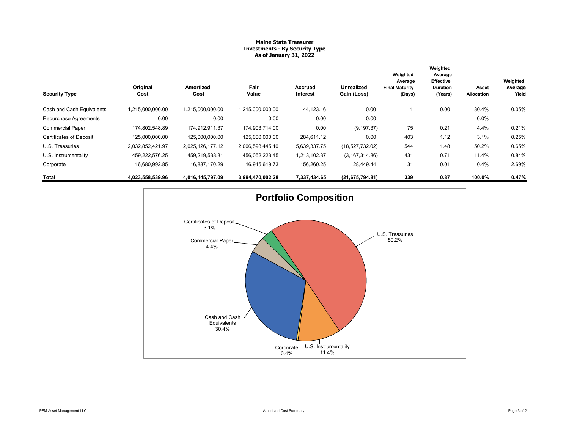#### **Maine State Treasurer Investments - By Security Type As of January 31, 2022**

| <b>Security Type</b>           | Original<br>Cost | Amortized<br>Cost | Fair<br>Value    | Accrued<br>Interest | <b>Unrealized</b><br>Gain (Loss) | Weighted<br>Average<br><b>Final Maturity</b><br>(Days) | Weighted<br>Average<br><b>Effective</b><br><b>Duration</b><br>(Years) | Asset<br><b>Allocation</b> | Weighted<br>Average<br>Yield |
|--------------------------------|------------------|-------------------|------------------|---------------------|----------------------------------|--------------------------------------------------------|-----------------------------------------------------------------------|----------------------------|------------------------------|
|                                |                  |                   |                  |                     |                                  |                                                        |                                                                       |                            |                              |
| Cash and Cash Equivalents      | 1,215,000,000.00 | 1,215,000,000.00  | 1,215,000,000.00 | 44,123.16           | 0.00                             |                                                        | 0.00                                                                  | 30.4%                      | 0.05%                        |
| Repurchase Agreements          | 0.00             | 0.00              | 0.00             | 0.00                | 0.00                             |                                                        |                                                                       | 0.0%                       |                              |
| <b>Commercial Paper</b>        | 174,802,548.89   | 174.912.911.37    | 174,903,714.00   | 0.00                | (9, 197.37)                      | 75                                                     | 0.21                                                                  | 4.4%                       | 0.21%                        |
| <b>Certificates of Deposit</b> | 125,000,000.00   | 125,000,000.00    | 125,000,000.00   | 284,611.12          | 0.00                             | 403                                                    | 1.12                                                                  | 3.1%                       | 0.25%                        |
| U.S. Treasuries                | 2,032,852,421.97 | 2,025,126,177.12  | 2,006,598,445.10 | 5,639,337.75        | (18,527,732.02)                  | 544                                                    | 1.48                                                                  | 50.2%                      | 0.65%                        |
| U.S. Instrumentality           | 459,222,576.25   | 459,219,538.31    | 456,052,223.45   | 1,213,102.37        | (3, 167, 314.86)                 | 431                                                    | 0.71                                                                  | 11.4%                      | 0.84%                        |
| Corporate                      | 16,680,992.85    | 16,887,170.29     | 16,915,619.73    | 156,260.25          | 28,449.44                        | 31                                                     | 0.01                                                                  | 0.4%                       | 2.69%                        |
| Total                          | 4,023,558,539.96 | 4,016,145,797.09  | 3,994,470,002.28 | 7,337,434.65        | (21,675,794.81)                  | 339                                                    | 0.87                                                                  | 100.0%                     | 0.47%                        |

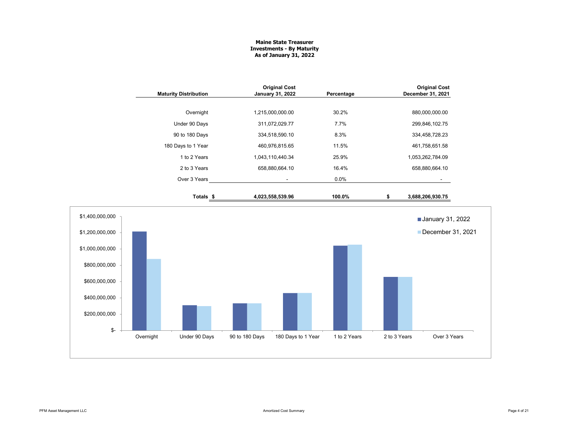#### **Maine State Treasurer Investments - By Maturity As of January 31, 2022**

| <b>Maturity Distribution</b>      | <b>Original Cost</b><br>January 31, 2022 | Percentage   | <b>Original Cost</b><br>December 31, 2021 |
|-----------------------------------|------------------------------------------|--------------|-------------------------------------------|
| Overnight                         | 1,215,000,000.00                         | 30.2%        | 880,000,000.00                            |
| Under 90 Days                     | 311,072,029.77                           | 7.7%         | 299,846,102.75                            |
| 90 to 180 Days                    | 334,518,590.10                           | 8.3%         | 334,458,728.23                            |
| 180 Days to 1 Year                | 460,976,815.65                           | 11.5%        | 461,758,651.58                            |
| 1 to 2 Years                      | 1,043,110,440.34                         | 25.9%        | 1,053,262,784.09                          |
| 2 to 3 Years                      | 658,880,664.10                           | 16.4%        | 658,880,664.10                            |
| Over 3 Years                      | $\blacksquare$                           | 0.0%         | $\sim$                                    |
| Totals <sub>\$</sub>              | 4,023,558,539.96                         | 100.0%       | \$<br>3,688,206,930.75                    |
| \$1,400,000,000                   |                                          |              | <b>January 31, 2022</b>                   |
| \$1,200,000,000                   |                                          |              | December 31, 2021                         |
| \$1,000,000,000<br>\$800,000,000  |                                          |              |                                           |
| \$600,000,000                     |                                          |              |                                           |
| \$400,000,000                     |                                          |              |                                           |
| \$200,000,000                     |                                          |              |                                           |
| \$-<br>Overnight<br>Under 90 Days | 90 to 180 Days<br>180 Days to 1 Year     | 1 to 2 Years | 2 to 3 Years<br>Over 3 Years              |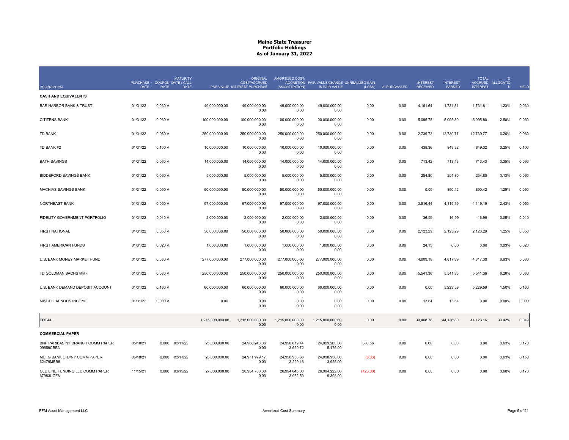| <b>DESCRIPTION</b>                            | <b>PURCHASE</b><br><b>DATE</b> | <b>COUPON DATE / CALL</b><br><b>RATE</b> | <b>MATURITY</b><br><b>DATE</b> | <b>ORIGINAL</b><br><b>COST/ACCRUED</b><br>PAR VALUE INTEREST PURCHASE | AMORTIZED COST/<br>(AMORTIZATION) | ACCRETION FAIR VALUE/CHANGE UNREALIZED GAIN<br>IN FAIR VALUE | (LOSS)   | AI PURCHASED | <b>INTEREST</b><br><b>RECEIVED</b> | <b>INTEREST</b><br>EARNED | <b>TOTAL</b><br><b>INTEREST</b> | %<br>ACCRUED ALLOCATIO<br>N | YIELD |
|-----------------------------------------------|--------------------------------|------------------------------------------|--------------------------------|-----------------------------------------------------------------------|-----------------------------------|--------------------------------------------------------------|----------|--------------|------------------------------------|---------------------------|---------------------------------|-----------------------------|-------|
| <b>CASH AND EQUIVALENTS</b>                   |                                |                                          |                                |                                                                       |                                   |                                                              |          |              |                                    |                           |                                 |                             |       |
| <b>BAR HARBOR BANK &amp; TRUST</b>            | 01/31/22                       | 0.030V                                   | 49.000.000.00                  | 49.000.000.00<br>0.00                                                 | 49.000.000.00<br>0.00             | 49.000.000.00<br>0.00                                        | 0.00     | 0.00         | 4,161.64                           | 1,731.81                  | 1.731.81                        | 1.23%                       | 0.030 |
| <b>CITIZENS BANK</b>                          | 01/31/22                       | 0.060V                                   | 100,000,000.00                 | 100,000,000.00<br>0.00                                                | 100,000,000.00<br>0.00            | 100,000,000.00<br>0.00                                       | 0.00     | 0.00         | 5,095.78                           | 5,095.80                  | 5,095.80                        | 2.50%                       | 0.060 |
| <b>TD BANK</b>                                | 01/31/22                       | 0.060V                                   | 250,000,000.00                 | 250,000,000.00<br>0.00                                                | 250,000,000.00<br>0.00            | 250,000,000.00<br>0.00                                       | 0.00     | 0.00         | 12,739.73                          | 12,739.77                 | 12,739.77                       | 6.26%                       | 0.060 |
| TD BANK #2                                    | 01/31/22                       | 0.100V                                   | 10,000,000.00                  | 10,000,000.00<br>0.00                                                 | 10,000,000.00<br>0.00             | 10,000,000.00<br>0.00                                        | 0.00     | 0.00         | 438.36                             | 849.32                    | 849.32                          | 0.25%                       | 0.100 |
| <b>BATH SAVINGS</b>                           | 01/31/22                       | 0.060V                                   | 14,000,000.00                  | 14.000.000.00<br>0.00                                                 | 14.000.000.00<br>0.00             | 14.000.000.00<br>0.00                                        | 0.00     | 0.00         | 713.42                             | 713.43                    | 713.43                          | 0.35%                       | 0.060 |
| <b>BIDDEFORD SAVINGS BANK</b>                 | 01/31/22                       | 0.060V                                   | 5,000,000.00                   | 5,000,000.00<br>0.00                                                  | 5,000,000.00<br>0.00              | 5,000,000.00<br>0.00                                         | 0.00     | 0.00         | 254.80                             | 254.80                    | 254.80                          | 0.13%                       | 0.060 |
| <b>MACHIAS SAVINGS BANK</b>                   | 01/31/22                       | 0.050V                                   | 50,000,000.00                  | 50,000,000.00<br>0.00                                                 | 50,000,000.00<br>0.00             | 50,000,000.00<br>0.00                                        | 0.00     | 0.00         | 0.00                               | 890.42                    | 890.42                          | 1.25%                       | 0.050 |
| NORTHEAST BANK                                | 01/31/22                       | 0.050V                                   | 97,000,000.00                  | 97,000,000.00<br>0.00                                                 | 97,000,000.00<br>0.00             | 97,000,000.00<br>0.00                                        | 0.00     | 0.00         | 3,516.44                           | 4,119.19                  | 4,119.19                        | 2.43%                       | 0.050 |
| FIDELITY GOVERNMENT PORTFOLIO                 | 01/31/22                       | 0.010V                                   | 2,000,000.00                   | 2,000,000.00<br>0.00                                                  | 2,000,000.00<br>0.00              | 2,000,000.00<br>0.00                                         | 0.00     | 0.00         | 36.99                              | 16.99                     | 16.99                           | 0.05%                       | 0.010 |
| <b>FIRST NATIONAL</b>                         | 01/31/22                       | 0.050V                                   | 50,000,000.00                  | 50,000,000.00<br>0.00                                                 | 50,000,000.00<br>0.00             | 50,000,000.00<br>0.00                                        | 0.00     | 0.00         | 2,123.29                           | 2,123.29                  | 2,123.29                        | 1.25%                       | 0.050 |
| FIRST AMERICAN FUNDS                          | 01/31/22                       | 0.020V                                   | 1,000,000.00                   | 1,000,000.00<br>0.00                                                  | 1,000,000.00<br>0.00              | 1,000,000.00<br>0.00                                         | 0.00     | 0.00         | 24.15                              | 0.00                      | 0.00                            | 0.03%                       | 0.020 |
| U.S. BANK MONEY MARKET FUND                   | 01/31/22                       | 0.030 V                                  | 277,000,000.00                 | 277,000,000.00<br>0.00                                                | 277,000,000.00<br>0.00            | 277,000,000.00<br>0.00                                       | 0.00     | 0.00         | 4,809.18                           | 4,817.39                  | 4,817.39                        | 6.93%                       | 0.030 |
| TD GOLDMAN SACHS MMF                          | 01/31/22                       | 0.030 V                                  | 250,000,000.00                 | 250,000,000.00<br>0.00                                                | 250,000,000.00<br>0.00            | 250,000,000.00<br>0.00                                       | 0.00     | 0.00         | 5,541.36                           | 5,541.36                  | 5,541.36                        | 6.26%                       | 0.030 |
| U.S. BANK DEMAND DEPOSIT ACCOUNT              | 01/31/22                       | 0.160V                                   | 60,000,000.00                  | 60,000,000.00<br>0.00                                                 | 60,000,000.00<br>0.00             | 60,000,000.00<br>0.00                                        | 0.00     | 0.00         | 0.00                               | 5,229.59                  | 5,229.59                        | 1.50%                       | 0.160 |
| MISCELLAENOUS INCOME                          | 01/31/22                       | 0.000V                                   | 0.00                           | 0.00<br>0.00                                                          | 0.00<br>0.00                      | 0.00<br>0.00                                                 | 0.00     | 0.00         | 13.64                              | 13.64                     | 0.00                            | 0.00%                       | 0.000 |
| <b>TOTAL</b>                                  |                                |                                          | 1,215,000,000.00               | 1,215,000,000.00<br>0.00                                              | 1,215,000,000.00<br>0.00          | 1,215,000,000.00<br>0.00                                     | 0.00     | 0.00         | 39,468.78                          | 44,136.80                 | 44,123.16                       | 30.42%                      | 0.049 |
| <b>COMMERCIAL PAPER</b>                       |                                |                                          |                                |                                                                       |                                   |                                                              |          |              |                                    |                           |                                 |                             |       |
| BNP PARIBAS NY BRANCH COMM PAPER<br>09659CBB3 | 05/18/21                       | 0.000                                    | 02/11/22<br>25,000,000.00      | 24,968,243.06<br>0.00                                                 | 24,998,819.44<br>3,659.72         | 24,999,200.00<br>5,175.00                                    | 380.56   | 0.00         | 0.00                               | 0.00                      | 0.00                            | 0.63%                       | 0.170 |
| MUFG BANK LTD/NY COMM PAPER<br>62479MBB8      | 05/18/21                       | 0.000                                    | 02/11/22<br>25,000,000.00      | 24.971.979.17<br>0.00                                                 | 24.998.958.33<br>3,229.16         | 24.998.950.00<br>3,925.00                                    | (8.33)   | 0.00         | 0.00                               | 0.00                      | 0.00                            | 0.63%                       | 0.150 |
| OLD LINE FUNDING LLC COMM PAPER<br>67983UCF8  | 11/15/21                       | 0.000                                    | 03/15/22<br>27,000,000.00      | 26,984,700.00<br>0.00                                                 | 26.994.645.00<br>3,952.50         | 26.994.222.00<br>9,396.00                                    | (423.00) | 0.00         | 0.00                               | 0.00                      | 0.00                            | 0.68%                       | 0.170 |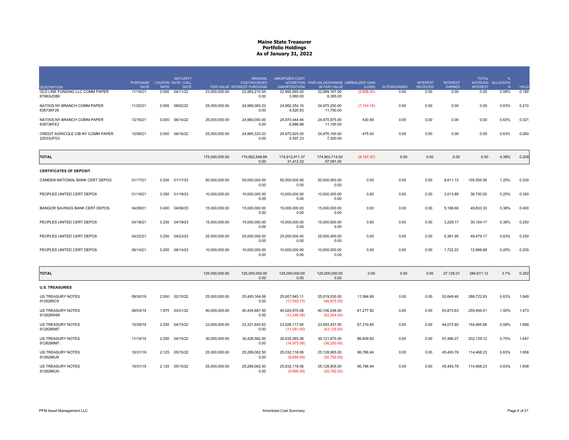| <b>DESCRIPTION</b>                             | <b>PURCHASE</b><br><b>DATE</b> | <b>COUPON DATE / CALL</b><br><b>RATE</b> | <b>MATURITY</b><br><b>DATE</b> |                | <b>ORIGINAL</b><br><b>COST/ACCRUED</b><br>PAR VALUE INTEREST PURCHASE | AMORTIZED COST/<br>(AMORTIZATION) | ACCRETION FAIR VALUE/CHANGE UNREALIZED GAIN<br>IN FAIR VALUE | (LOSS)      | AI PURCHASED | <b>INTEREST</b><br><b>RECEIVED</b> | <b>INTEREST</b><br>EARNED | <b>TOTAL</b><br><b>INTEREST</b> | %<br>ACCRUED ALLOCATIO<br>N | YIELD |
|------------------------------------------------|--------------------------------|------------------------------------------|--------------------------------|----------------|-----------------------------------------------------------------------|-----------------------------------|--------------------------------------------------------------|-------------|--------------|------------------------------------|---------------------------|---------------------------------|-----------------------------|-------|
| OLD LINE FUNDING LLC COMM PAPER<br>67983UDB6   | 11/16/21                       | 0.000                                    | 04/11/22                       | 23.000.000.00  | 22.983.210.00<br>0.00                                                 | 22.992.065.00<br>3,565.00         | 22.989.167.00<br>8,395.00                                    | (2,898.00)  | 0.00         | 0.00                               | 0.00                      | 0.00                            | 0.58%                       | 0.180 |
| NATIXIS NY BRANCH COMM PAPER<br>63873KF28      | 11/02/21                       | 0.000                                    | 06/02/22                       | 25.000.000.00  | 24.969.083.33<br>0.00                                                 | 24.982.354.16<br>4,520.83         | 24.975.200.00<br>11.750.00                                   | (7, 154.16) | 0.00         | 0.00                               | 0.00                      | 0.00                            | 0.63%                       | 0.210 |
| NATIXIS NY BRANCH COMM PAPER<br>63873KFE2      | 12/16/21                       | 0.000 06/14/22                           |                                | 25.000.000.00  | 24.960.000.00<br>0.00                                                 | 24.970.444.44<br>6.888.88         | 24.970.875.00<br>11.150.00                                   | 430.56      | 0.00         | 0.00                               | 0.00                      | 0.00                            | 0.63%                       | 0.321 |
| CREDIT AGRICOLE CIB NY COMM PAPER<br>22533UFG3 | 12/06/21                       | 0.000 06/16/22                           |                                | 25,000,000.00  | 24,965,333.33<br>0.00                                                 | 24,975,625.00<br>5,597.23         | 24,976,100.00<br>7.300.00                                    | 475.00      | 0.00         | 0.00                               | 0.00                      | 0.00                            | 0.63%                       | 0.260 |
| TOTAL                                          |                                |                                          |                                | 175,000,000.00 | 174,802,548.89<br>0.00                                                | 174,912,911.37<br>31,413.32       | 174,903,714.00<br>57,091.00                                  | (9, 197.37) | 0.00         | 0.00                               | 0.00                      | 0.00                            | 4.38%                       | 0.209 |
| <b>CERTIFICATES OF DEPOSIT</b>                 |                                |                                          |                                |                |                                                                       |                                   |                                                              |             |              |                                    |                           |                                 |                             |       |
| CAMDEN NATIONAL BANK CERT DEPOS                | 01/17/21                       | 0.200 01/17/23                           |                                | 50,000,000.00  | 50,000,000.00<br>0.00                                                 | 50,000,000.00<br>0.00             | 50,000,000.00<br>0.00                                        | 0.00        | 0.00         | 0.00                               | 8,611.12                  | 105,555.56                      | 1.25%                       | 0.200 |
| PEOPLES UNITED CERT DEPOS                      | 01/19/21                       | 0.350                                    | 01/19/23                       | 10,000,000.00  | 10,000,000.00<br>0.00                                                 | 10,000,000.00<br>0.00             | 10,000,000.00<br>0.00                                        | 0.00        | 0.00         | 0.00                               | 3,013.89                  | 36,750.00                       | 0.25%                       | 0.350 |
| BANGOR SAVINGS BANK CERT DEPOS                 | 04/08/21                       | 0.400                                    | 04/08/23                       | 15,000,000.00  | 15,000,000.00<br>0.00                                                 | 15,000,000.00<br>0.00             | 15,000,000.00<br>0.00                                        | 0.00        | 0.00         | 0.00                               | 5,166.66                  | 49,833.33                       | 0.38%                       | 0.400 |
| PEOPLES UNITED CERT DEPOS                      | 04/18/21                       | 0.250                                    | 04/18/23                       | 15,000,000.00  | 15,000,000.00<br>0.00                                                 | 15,000,000.00<br>0.00             | 15,000,000.00<br>0.00                                        | 0.00        | 0.00         | 0.00                               | 3,229.17                  | 30,104.17                       | 0.38%                       | 0.250 |
| PEOPLES UNITED CERT DEPOS                      | 04/22/21                       | 0.250                                    | 04/23/23                       | 25,000,000.00  | 25,000,000.00<br>0.00                                                 | 25,000,000.00<br>0.00             | 25,000,000.00<br>0.00                                        | 0.00        | 0.00         | 0.00                               | 5,381.95                  | 49,479.17                       | 0.63%                       | 0.250 |
| PEOPLES UNITED CERT DEPOS                      | 06/14/21                       | 0.200                                    | 06/14/23                       | 10,000,000.00  | 10,000,000.00<br>0.00                                                 | 10.000.000.00<br>0.00             | 10,000,000.00<br>0.00                                        | 0.00        | 0.00         | 0.00                               | 1,722.22                  | 12,888.89                       | 0.25%                       | 0.200 |
| <b>TOTAL</b>                                   |                                |                                          |                                | 125,000,000.00 | 125,000,000.00<br>0.00                                                | 125,000,000.00<br>0.00            | 125.000.000.00<br>0.00                                       | 0.00        | 0.00         | 0.00                               | 27,125.01                 | 284,611.12                      | 3.1%                        | 0.252 |
| <b>U.S. TREASURIES</b>                         |                                |                                          |                                |                |                                                                       |                                   |                                                              |             |              |                                    |                           |                                 |                             |       |
| <b>US TREASURY NOTES</b><br>9128286C9          | 09/30/19                       | 2.500                                    | 02/15/22                       | 25,000,000.00  | 25,493,164.06<br>0.00                                                 | 25,007,945.11<br>(17, 592.73)     | 25,019,530.00<br>(46, 875.00)                                | 11,584.89   | 0.00         | 0.00                               | 52,649.46                 | 288,722.83                      | 0.63%                       | 1.649 |
| <b>US TREASURY NOTES</b><br>912828W89          | 09/03/19                       | 1.875 03/31/22                           |                                | 40,000,000.00  | 40,404,687.50<br>0.00                                                 | 40,024,970.08<br>(13,346.08)      | 40,106,248.00<br>(62, 504.00)                                | 81,277.92   | 0.00         | 0.00                               | 63,873.63                 | 255,494.51                      | 1.00%                       | 1.473 |
| <b>US TREASURY NOTES</b>                       | 10/29/19                       | 2.250 04/15/22                           |                                | 23,000,000.00  | 23,321,640.63                                                         | 23,026,117.65                     | 23,093,437.50                                                | 67,319.85   | 0.00         | 0.00                               | 44,072.80                 | 154,965.66                      | 0.58%                       | 1.668 |

9128286M7 0.00 (11,091.05) (43,125.00) US TREASURY NOTES 11/14/19 2.250 04/15/22 30,000,000.00 30,426,562.50 30,035,265.08 30,121,875.00 86,609.92 0.00 0.00 57,486.27 202,129.12 0.75% 1.647 9128286M7 .. The contract of the contract of the contract of the contract of the contract of  $0.00$  (14,975.58) (56,250.00) US TREASURY NOTES 10/31/19 2.125 05/15/22 25,000,000.00 25,289,062.50 25,032,118.06 25,128,905.00 96,786.94 0.00 0.00 45,493.78 114,468.23 0.63% 1.658 US TREASURY NOTES<br>9128286U9 0.00 (9,666.59) (50,782.50) US TREASURY NOTES 10/31/19 2.125 05/15/22 25,000,000.00 25,289,062.50 25,032,118.06 25,128,905.00 96,786.94 0.00 0.00 45,493.78 114,468.23 0.63% 1.658 9128286U9 .(9,666.59) (50,782.50)

. The contract of the contract of the contract of the contract of the contract of the contract of the contract of the contract of the contract of the contract of the contract of the contract of the contract of the contrac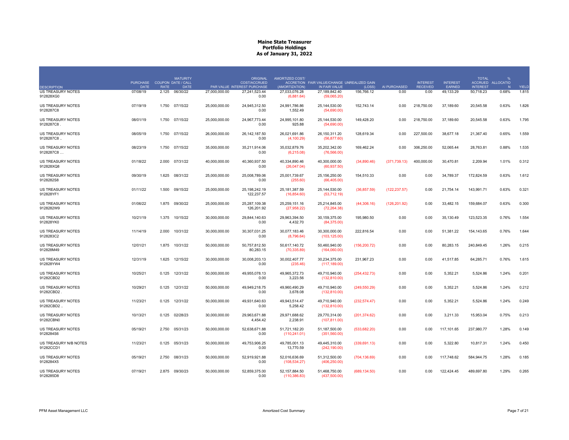|                                       | <b>PURCHASE</b> |             | <b>MATURITY</b><br>COUPON DATE / CALL |               | <b>ORIGINAL</b><br>COST/ACCRUED | AMORTIZED COST/                  | ACCRETION FAIR VALUE/CHANGE UNREALIZED GAIN |               |               | <b>INTEREST</b> | <b>INTEREST</b> | <b>TOTAL</b>    | $\frac{1}{2}$<br>ACCRUED ALLOCATIO |       |
|---------------------------------------|-----------------|-------------|---------------------------------------|---------------|---------------------------------|----------------------------------|---------------------------------------------|---------------|---------------|-----------------|-----------------|-----------------|------------------------------------|-------|
| <b>DESCRIPTION</b>                    | <b>DATE</b>     | <b>RATE</b> | <b>DATE</b>                           |               | PAR VALUE INTEREST PURCHASE     | (AMORTIZATION)                   | IN FAIR VALUE                               | (LOSS)        | AI PURCHASED  | <b>RECEIVED</b> | EARNED          | <b>INTEREST</b> | N                                  | YIELD |
| US TREASURY NOTES<br>912828XG0        | 07/08/19        | 2.125       | 06/30/22                              | 27,000,000.00 | 27,241,523.44<br>0.00           | 27,033,076.28<br>(6,881.64)      | 27,189,842.40<br>(59,065.20)                | 156,766.12    | 0.00          | 0.00            | 49,133.29       | 50,718.23       | 0.68%                              | 1.815 |
| <b>US TREASURY NOTES</b><br>9128287C8 | 07/19/19        | 1.750       | 07/15/22                              | 25,000,000.00 | 24,945,312.50<br>0.00           | 24,991,786.86<br>1,552.49        | 25,144,530.00<br>(54,690.00)                | 152,743.14    | 0.00          | 218,750.00      | 37,189.60       | 20,545.58       | 0.63%                              | 1.826 |
| US TREASURY NOTES<br>9128287C8        | 08/01/19        | 1.750       | 07/15/22                              | 25,000,000.00 | 24,967,773.44<br>0.00           | 24,995,101.80<br>925.88          | 25,144,530.00<br>(54,690.00)                | 149,428.20    | 0.00          | 218,750.00      | 37,189.60       | 20,545.58       | 0.63%                              | 1.795 |
| US TREASURY NOTES<br>9128287C8.       | 08/05/19        | 1.750       | 07/15/22                              | 26,000,000.00 | 26, 142, 187.50<br>0.00         | 26,021,691.86<br>(4, 100.29)     | 26,150,311.20<br>(56, 877.60)               | 128,619.34    | 0.00          | 227,500.00      | 38,677.18       | 21,367.40       | 0.65%                              | 1.559 |
| US TREASURY NOTES<br>9128287C8        | 08/23/19        |             | 1.750 07/15/22                        | 35,000,000.00 | 35,211,914.06<br>0.00           | 35,032,879.76<br>(6,215.08)      | 35,202,342.00<br>(76, 566.00)               | 169,462.24    | 0.00          | 306,250.00      | 52,065.44       | 28,763.81       | 0.88%                              | 1.535 |
| US TREASURY NOTES<br>912828XQ8        | 01/18/22        | 2.000       | 07/31/22                              | 40,000,000.00 | 40,360,937.50<br>0.00           | 40,334,890.46<br>(26,047.04)     | 40,300,000.00<br>(60, 937.50)               | (34,890.46)   | (371, 739.13) | 400,000.00      | 30,470.81       | 2,209.94        | 1.01%                              | 0.312 |
| <b>US TREASURY NOTES</b><br>9128282S8 | 09/30/19        | 1.625       | 08/31/22                              | 25,000,000.00 | 25,008,789.06<br>0.00           | 25,001,739.67<br>(255.60)        | 25,156,250.00<br>(66, 405.00)               | 154,510.33    | 0.00          | 0.00            | 34,789.37       | 172,824.59      | 0.63%                              | 1.612 |
| <b>US TREASURY NOTES</b><br>912828YF1 | 01/11/22        | 1.500       | 09/15/22                              | 25,000,000.00 | 25, 198, 242. 19<br>122,237.57  | 25, 181, 387.59<br>(16, 854.60)  | 25,144,530.00<br>(53, 712.19)               | (36, 857.59)  | (122, 237.57) | 0.00            | 21,754.14       | 143,991.71      | 0.63%                              | 0.321 |
| <b>US TREASURY NOTES</b><br>9128282W9 | 01/06/22        | 1.875       | 09/30/22                              | 25.000.000.00 | 25.287.109.38<br>126,201.92     | 25.259.151.16<br>(27, 958.22)    | 25.214.845.00<br>(72, 264.38)               | (44,306.16)   | (126, 201.92) | 0.00            | 33,482.15       | 159.684.07      | 0.63%                              | 0.300 |
| <b>US TREASURY NOTES</b><br>912828YK0 | 10/21/19        | 1.375       | 10/15/22                              | 30,000,000.00 | 29.844.140.63<br>0.00           | 29.963.394.50<br>4,432.70        | 30,159,375.00<br>(84, 375.00)               | 195,980.50    | 0.00          | 0.00            | 35.130.49       | 123,523.35      | 0.76%                              | 1.554 |
| US TREASURY NOTES<br>9128283C2        | 11/14/19        | 2.000       | 10/31/22                              | 30,000,000.00 | 30.307.031.25<br>0.00           | 30,077,183.46<br>(8,796.64)      | 30,300,000.00<br>(103, 125.00)              | 222,816.54    | 0.00          | 0.00            | 51,381.22       | 154,143.65      | 0.76%                              | 1.644 |
| <b>US TREASURY NOTES</b><br>912828M49 | 12/01/21        | 1.875       | 10/31/22                              | 50,000,000.00 | 50,757,812.50<br>80,283.15      | 50.617.140.72<br>(70, 335.89)    | 50.460.940.00<br>(164,060.00)               | (156, 200.72) | 0.00          | 0.00            | 80.283.15       | 240,849.45      | 1.26%                              | 0.215 |
| US TREASURY NOTES<br>912828YW4        | 12/31/19        | 1.625       | 12/15/22                              | 30,000,000.00 | 30,008,203.13<br>0.00           | 30,002,407.77<br>(235.46)        | 30,234,375.00<br>(117, 189.00)              | 231,967.23    | 0.00          | 0.00            | 41,517.85       | 64,285.71       | 0.76%                              | 1.615 |
| <b>US TREASURY NOTES</b><br>91282CBD2 | 10/25/21        | 0.125       | 12/31/22                              | 50.000.000.00 | 49.955.078.13<br>0.00           | 49.965.372.73<br>3,223.56        | 49,710,940.00<br>(132,810.00)               | (254, 432.73) | 0.00          | 0.00            | 5,352.21        | 5.524.86        | 1.24%                              | 0.201 |
| US TREASURY NOTES<br>91282CBD2.       | 10/29/21        | 0.125       | 12/31/22                              | 50,000,000.00 | 49.949.218.75<br>0.00           | 49,960,490.29<br>3,678.08        | 49,710,940.00<br>(132,810.00)               | (249, 550.29) | 0.00          | 0.00            | 5.352.21        | 5.524.86        | 1.24%                              | 0.212 |
| <b>US TREASURY NOTES</b><br>91282CBD2 | 11/23/21        | 0.125       | 12/31/22                              | 50,000,000.00 | 49,931,640.63<br>0.00           | 49.943.514.47<br>5,258.42        | 49.710.940.00<br>(132,810.00)               | (232, 574.47) | 0.00          | 0.00            | 5,352.21        | 5,524.86        | 1.24%                              | 0.249 |
| US TREASURY NOTES<br>91282CBN0        | 10/13/21        | 0.125       | 02/28/23                              | 30,000,000.00 | 29,963,671.88<br>4,454.42       | 29,971,688.62<br>2,238.91        | 29,770,314.00<br>(107, 811.00)              | (201, 374.62) | 0.00          | 0.00            | 3,211.33        | 15,953.04       | 0.75%                              | 0.213 |
| US TREASURY NOTES<br>9128284S6        | 05/19/21        | 2.750       | 05/31/23                              | 50.000.000.00 | 52.638.671.88<br>0.00           | 51.721.182.20<br>(110, 241.01)   | 51.187.500.00<br>(351,560.00)               | (533,682.20)  | 0.00          | 0.00            | 117.101.65      | 237.980.77      | 1.28%                              | 0.149 |
| US TREASURY N/B NOTES<br>91282CCD1    | 11/23/21        | 0.125       | 05/31/23                              | 50,000,000.00 | 49,753,906.25<br>0.00           | 49,785,001.13<br>13,770.59       | 49,445,310.00<br>(242, 190.00)              | (339, 691.13) | 0.00          | 0.00            | 5,322.80        | 10,817.31       | 1.24%                              | 0.450 |
| <b>US TREASURY NOTES</b><br>9128284X5 | 05/19/21        | 2.750       | 08/31/23                              | 50.000.000.00 | 52.919.921.88<br>0.00           | 52.016.636.69<br>(108, 534.27)   | 51.312.500.00<br>(406, 250.00)              | (704, 136.69) | 0.00          | 0.00            | 117,748.62      | 584.944.75      | 1.28%                              | 0.185 |
| <b>US TREASURY NOTES</b><br>9128285D8 | 07/19/21        | 2.875       | 09/30/23                              | 50,000,000.00 | 52,859,375.00<br>0.00           | 52, 157, 884.50<br>(110, 386.83) | 51,468,750.00<br>(437,500.00)               | (689, 134.50) | 0.00          | 0.00            | 122,424.45      | 489,697.80      | 1.29%                              | 0.265 |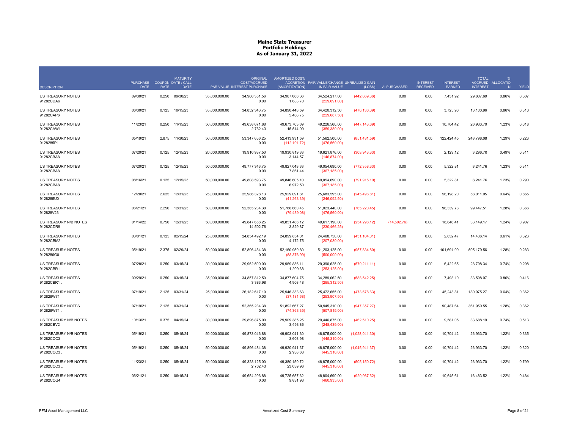|                                           | <b>PURCHASE</b> |             | <b>MATURITY</b><br><b>COUPON DATE / CALL</b> |               | <b>ORIGINAL</b><br>COST/ACCRUED | AMORTIZED COST/                | ACCRETION FAIR VALUE/CHANGE UNREALIZED GAIN |                |              | <b>INTEREST</b> | <b>INTEREST</b> | <b>TOTAL</b>    | ACCRUED ALLOCATIO |       |
|-------------------------------------------|-----------------|-------------|----------------------------------------------|---------------|---------------------------------|--------------------------------|---------------------------------------------|----------------|--------------|-----------------|-----------------|-----------------|-------------------|-------|
| <b>DESCRIPTION</b>                        | <b>DATE</b>     | <b>RATE</b> | <b>DATE</b>                                  |               | PAR VALUE INTEREST PURCHASE     | (AMORTIZATION)                 | IN FAIR VALUE                               | (LOSS)         | AI PURCHASED | <b>RECEIVED</b> | EARNED          | <b>INTEREST</b> | N                 | YIELD |
| <b>US TREASURY NOTES</b><br>91282CDA6     | 09/30/21        | 0.250       | 09/30/23                                     | 35,000,000.00 | 34,960,351.56<br>0.00           | 34,967,086.36<br>1,683.70      | 34,524,217.00<br>(229, 691.00)              | (442, 869.36)  | 0.00         | 0.00            | 7,451.92        | 29,807.69       | 0.86%             | 0.307 |
| <b>US TREASURY NOTES</b><br>91282CAP6     | 06/30/21        | 0.125       | 10/15/23                                     | 35,000,000.00 | 34,852,343.75<br>0.00           | 34,890,448.59<br>5,468.75      | 34,420,312.50<br>(229, 687.50)              | (470, 136.09)  | 0.00         | 0.00            | 3,725.96        | 13,100.96       | 0.86%             | 0.310 |
| <b>US TREASURY NOTES</b><br>91282CAW1     | 11/23/21        | 0.250       | 11/15/23                                     | 50,000,000.00 | 49,638,671.88<br>2,762.43       | 49,673,703.69<br>15,514.09     | 49,226,560.00<br>(359, 380.00)              | (447, 143.69)  | 0.00         | 0.00            | 10,704.42       | 26,933.70       | 1.23%             | 0.618 |
| <b>US TREASURY NOTES</b><br>9128285P1     | 05/19/21        | 2.875       | 11/30/23                                     | 50,000,000.00 | 53,347,656.25<br>0.00           | 52,413,931.59<br>(112, 191.72) | 51,562,500.00<br>(476, 560.00)              | (851, 431.59)  | 0.00         | 0.00            | 122,424.45      | 248,798.08      | 1.29%             | 0.223 |
| <b>US TREASURY NOTES</b><br>91282CBA8     | 07/20/21        | 0.125       | 12/15/23                                     | 20,000,000.00 | 19.910.937.50<br>0.00           | 19.930.819.33<br>3,144.57      | 19.621.876.00<br>(146, 874.00)              | (308, 943.33)  | 0.00         | 0.00            | 2,129.12        | 3.296.70        | 0.49%             | 0.311 |
| US TREASURY NOTES<br>91282CBA8            | 07/20/21        | 0.125       | 12/15/23                                     | 50.000.000.00 | 49.777.343.75<br>0.00           | 49.827.048.33<br>7,861.44      | 49.054.690.00<br>(367, 185.00)              | (772, 358.33)  | 0.00         | 0.00            | 5.322.81        | 8.241.76        | 1.23%             | 0.311 |
| US TREASURY NOTES<br>91282CBA8            | 08/16/21        | 0.125       | 12/15/23                                     | 50,000,000.00 | 49,808,593.75<br>0.00           | 49,846,605.10<br>6,972.50      | 49,054,690.00<br>(367, 185.00)              | (791, 915.10)  | 0.00         | 0.00            | 5,322.81        | 8,241.76        | 1.23%             | 0.290 |
| <b>US TREASURY NOTES</b><br>9128285U0     | 12/20/21        | 2.625       | 12/31/23                                     | 25,000,000.00 | 25,986,328.13<br>0.00           | 25,929,091.81<br>(41, 263.39)  | 25,683,595.00<br>(246,092.50)               | (245, 496.81)  | 0.00         | 0.00            | 56,198.20       | 58,011.05       | 0.64%             | 0.665 |
| <b>US TREASURY NOTES</b><br>912828V23     | 06/21/21        | 2.250       | 12/31/23                                     | 50,000,000.00 | 52,365,234.38<br>0.00           | 51,788,660.45<br>(79, 439.08)  | 51,023,440.00<br>(476, 560.00)              | (765, 220.45)  | 0.00         | 0.00            | 96,339.78       | 99,447.51       | 1.28%             | 0.366 |
| US TREASURY N/B NOTES<br>91282CDR9        | 01/14/22        | 0.750       | 12/31/23                                     | 50,000,000.00 | 49,847,656.25<br>14,502.76      | 49,851,486.12<br>3,829.87      | 49,617,190.00<br>(230, 466.25)              | (234, 296.12)  | (14,502.76)  | 0.00            | 18,646.41       | 33, 149. 17     | 1.24%             | 0.907 |
| <b>US TREASURY NOTES</b><br>91282CBM2     | 03/01/21        | 0.125       | 02/15/24                                     | 25,000,000,00 | 24.854.492.19<br>0.00           | 24.899.854.01<br>4,172.75      | 24.468.750.00<br>(207,030.00)               | (431, 104.01)  | 0.00         | 0.00            | 2.632.47        | 14.436.14       | 0.61%             | 0.323 |
| US TREASURY NOTES<br>9128286G0            | 05/19/21        | 2.375       | 02/29/24                                     | 50.000.000.00 | 52.896.484.38<br>0.00           | 52.160.959.80<br>(88, 376.99)  | 51.203.125.00<br>(500,000.00)               | (957, 834.80)  | 0.00         | 0.00            | 101.691.99      | 505.179.56      | 1.28%             | 0.283 |
| <b>US TREASURY NOTES</b><br>91282CBR1     | 07/28/21        | 0.250       | 03/15/24                                     | 30,000,000.00 | 29,962,500.00<br>0.00           | 29,969,836.11<br>1,209.68      | 29,390,625.00<br>(253, 125.00)              | (579, 211.11)  | 0.00         | 0.00            | 6,422.65        | 28,798.34       | 0.74%             | 0.298 |
| <b>US TREASURY NOTES</b><br>91282CBR1.    | 09/29/21        | 0.250       | 03/15/24                                     | 35,000,000.00 | 34,857,812.50<br>3,383.98       | 34,877,604.75<br>4,908.48      | 34,289,062.50<br>(295, 312.50)              | (588, 542.25)  | 0.00         | 0.00            | 7,493.10        | 33,598.07       | 0.86%             | 0.416 |
| <b>US TREASURY NOTES</b><br>912828W71     | 07/19/21        | 2.125       | 03/31/24                                     | 25,000,000.00 | 26, 182, 617. 19<br>0.00        | 25,946,333.63<br>(37, 181.68)  | 25,472,655.00<br>(253,907.50)               | (473, 678.63)  | 0.00         | 0.00            | 45,243.81       | 180,975.27      | 0.64%             | 0.362 |
| <b>US TREASURY NOTES</b><br>912828W71.    | 07/19/21        | 2.125       | 03/31/24                                     | 50,000,000.00 | 52,365,234.38<br>0.00           | 51,892,667.27<br>(74, 363.35)  | 50,945,310.00<br>(507, 815.00)              | (947, 357.27)  | 0.00         | 0.00            | 90,487.64       | 361,950.55      | 1.28%             | 0.362 |
| <b>US TREASURY N/B NOTES</b><br>91282CBV2 | 10/13/21        | 0.375       | 04/15/24                                     | 30.000.000.00 | 29.896.875.00<br>0.00           | 29.909.385.25<br>3,493.86      | 29.446.875.00<br>(248, 439.00)              | (462, 510.25)  | 0.00         | 0.00            | 9.581.05        | 33.688.19       | 0.74%             | 0.513 |
| US TREASURY N/B NOTES<br>91282CCC3        | 05/19/21        | 0.250       | 05/15/24                                     | 50.000.000.00 | 49.873.046.88<br>0.00           | 49.903.041.30<br>3,603.98      | 48.875.000.00<br>(445,310.00)               | (1,028,041.30) | 0.00         | 0.00            | 10.704.42       | 26,933.70       | 1.22%             | 0.335 |
| US TREASURY N/B NOTES<br>91282CCC3        | 05/19/21        | 0.250       | 05/15/24                                     | 50,000,000.00 | 49,896,484.38<br>0.00           | 49,920,941.37<br>2,938.63      | 48,875,000.00<br>(445, 310.00)              | (1,045,941.37) | 0.00         | 0.00            | 10,704.42       | 26,933.70       | 1.22%             | 0.320 |
| US TREASURY N/B NOTES<br>91282CCC3        | 11/23/21        | 0.250       | 05/15/24                                     | 50,000,000.00 | 49,328,125.00<br>2,762.43       | 49,380,150.72<br>23,039.96     | 48,875,000.00<br>(445,310.00)               | (505, 150.72)  | 0.00         | 0.00            | 10,704.42       | 26,933.70       | 1.22%             | 0.799 |
| US TREASURY N/B NOTES<br>91282CCG4        | 06/21/21        | 0.250       | 06/15/24                                     | 50,000,000.00 | 49,654,296.88<br>0.00           | 49,725,657.62<br>9,831.93      | 48,804,690.00<br>(460, 935.00)              | (920, 967.62)  | 0.00         | 0.00            | 10,645.61       | 16,483.52       | 1.22%             | 0.484 |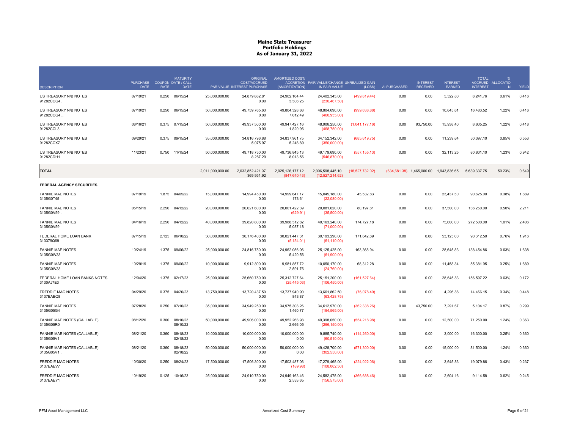|                                            | <b>PURCHASE</b> |             | <b>MATURITY</b><br>COUPON DATE / CALL |                  | <b>ORIGINAL</b><br>COST/ACCRUED | AMORTIZED COST/                   | ACCRETION FAIR VALUE/CHANGE UNREALIZED GAIN |                 |              | <b>INTEREST</b>              | <b>INTEREST</b> | <b>TOTAL</b><br><b>ACCRUED</b> | <b>ALLOCATIO</b> |       |
|--------------------------------------------|-----------------|-------------|---------------------------------------|------------------|---------------------------------|-----------------------------------|---------------------------------------------|-----------------|--------------|------------------------------|-----------------|--------------------------------|------------------|-------|
| <b>DESCRIPTION</b>                         | <b>DATE</b>     | <b>RATE</b> | <b>DATE</b>                           |                  | PAR VALUE INTEREST PURCHASE     | (AMORTIZATION)                    | IN FAIR VALUE                               | (LOSS)          | AI PURCHASED | <b>RECEIVED</b>              | <b>EARNED</b>   | <b>INTEREST</b>                | N                | YIELD |
| US TREASURY N/B NOTES<br>91282CCG4.        | 07/19/21        | 0.250       | 06/15/24                              | 25,000,000.00    | 24,879,882.81<br>0.00           | 24,902,164.44<br>3,506.25         | 24,402,345.00<br>(230, 467.50)              | (499, 819, 44)  | 0.00         | 0.00                         | 5,322.80        | 8,241.76                       | 0.61%            | 0.416 |
| US TREASURY N/B NOTES<br>91282CCG4         | 07/19/21        | 0.250       | 06/15/24                              | 50,000,000.00    | 49,759,765.63<br>0.00           | 49,804,328.88<br>7,012.49         | 48,804,690.00<br>(460, 935.00)              | (999, 638.88)   | 0.00         | 0.00                         | 10,645.61       | 16,483.52                      | 1.22%            | 0.416 |
| US TREASURY N/B NOTES<br>91282CCL3         | 08/16/21        | 0.375       | 07/15/24                              | 50,000,000.00    | 49,937,500.00<br>0.00           | 49,947,427.16<br>1,820.96         | 48,906,250.00<br>(468,750.00)               | (1,041,177.16)  | 0.00         | 93,750.00                    | 15,938.40       | 8,805.25                       | 1.22%            | 0.418 |
| US TREASURY N/B NOTES<br>91282CCX7         | 09/29/21        | 0.375       | 09/15/24                              | 35,000,000.00    | 34,816,796.88<br>5,075.97       | 34,837,961.75<br>5,248.89         | 34, 152, 342.00<br>(350,000.00)             | (685, 619.75)   | 0.00         | 0.00                         | 11,239.64       | 50,397.10                      | 0.85%            | 0.553 |
| US TREASURY N/B NOTES<br>91282CDH1         | 11/23/21        | 0.750       | 11/15/24                              | 50,000,000.00    | 49,718,750.00<br>8,287.29       | 49,736,845.13<br>8,013.56         | 49,179,690.00<br>(546, 870.00)              | (557, 155.13)   | 0.00         | 0.00                         | 32,113.25       | 80,801.10                      | 1.23%            | 0.942 |
| <b>TOTAL</b>                               |                 |             |                                       | 2,011,000,000.00 | 2,032,852,421.97<br>369,951.92  | 2,025,126,177.12<br>(847, 640.43) | 2,006,598,445.10<br>(12,527,214.62)         | (18,527,732.02) |              | $(634, 681.38)$ 1,465,000.00 | 1,943,836.65    | 5,639,337.75                   | 50.23%           | 0.649 |
| <b>FEDERAL AGENCY SECURITIES</b>           |                 |             |                                       |                  |                                 |                                   |                                             |                 |              |                              |                 |                                |                  |       |
| <b>FANNIE MAE NOTES</b><br>3135G0T45       | 07/19/19        |             | 1.875 04/05/22                        | 15,000,000.00    | 14,994,450.00<br>0.00           | 14,999,647.17<br>173.61           | 15,045,180.00<br>(22,080.00)                | 45,532.83       | 0.00         | 0.00                         | 23,437.50       | 90,625.00                      | 0.38%            | 1.889 |
| <b>FANNIE MAE NOTES</b><br>3135G0V59       | 05/15/19        | 2.250       | 04/12/22                              | 20,000,000.00    | 20,021,600.00<br>0.00           | 20,001,422.39<br>(629.91)         | 20,081,620.00<br>(35,500.00)                | 80,197.61       | 0.00         | 0.00                         | 37,500.00       | 136,250.00                     | 0.50%            | 2.211 |
| <b>FANNIE MAE NOTES</b><br>3135G0V59       | 04/16/19        | 2.250       | 04/12/22                              | 40,000,000.00    | 39.820.800.00<br>0.00           | 39.988.512.82<br>5,087.18         | 40,163,240.00<br>(71,000.00)                | 174,727.18      | 0.00         | 0.00                         | 75,000.00       | 272.500.00                     | 1.01%            | 2.406 |
| FEDERAL HOME LOAN BANK<br>313379Q69        | 07/15/19        | 2.125       | 06/10/22                              | 30,000,000.00    | 30,176,400.00<br>0.00           | 30,021,447.31<br>(5, 154.01)      | 30,193,290.00<br>(61, 110.00)               | 171,842.69      | 0.00         | 0.00                         | 53,125.00       | 90,312.50                      | 0.76%            | 1.916 |
| <b>FANNIE MAE NOTES</b><br>3135G0W33       | 10/24/19        |             | 1.375 09/06/22                        | 25,000,000.00    | 24,816,750.00<br>0.00           | 24,962,056.06<br>5,420.56         | 25,125,425.00<br>(61,900.00)                | 163,368.94      | 0.00         | 0.00                         | 28,645.83       | 138,454.86                     | 0.63%            | 1.638 |
| <b>FANNIE MAE NOTES</b><br>3135G0W33       | 10/29/19        | 1.375       | 09/06/22                              | 10,000,000.00    | 9,912,800.00<br>0.00            | 9,981,857.72<br>2,591.76          | 10,050,170.00<br>(24,760.00)                | 68,312.28       | 0.00         | 0.00                         | 11,458.34       | 55,381.95                      | 0.25%            | 1.689 |
| FEDERAL HOME LOAN BANKS NOTES<br>3130AJ7E3 | 12/04/20        | 1.375       | 02/17/23                              | 25,000,000.00    | 25,660,750.00<br>0.00           | 25,312,727.64<br>(25, 445.03)     | 25,151,200.00<br>(106, 450.00)              | (161, 527.64)   | 0.00         | 0.00                         | 28,645.83       | 156,597.22                     | 0.63%            | 0.172 |
| <b>FREDDIE MAC NOTES</b><br>3137EAEQ8      | 04/29/20        |             | 0.375 04/20/23                        | 13,750,000.00    | 13,720,437.50<br>0.00           | 13,737,940.90<br>843.87           | 13,661,862.50<br>(63, 428.75)               | (76,078.40)     | 0.00         | 0.00                         | 4,296.88        | 14,466.15                      | 0.34%            | 0.448 |
| <b>FANNIE MAE NOTES</b><br>3135G05G4       | 07/28/20        | 0.250       | 07/10/23                              | 35,000,000.00    | 34,949,250.00<br>0.00           | 34,975,308.26<br>1,460.77         | 34,612,970.00<br>(194, 565.00)              | (362, 338.26)   | 0.00         | 43,750.00                    | 7,291.67        | 5,104.17                       | 0.87%            | 0.299 |
| FANNIE MAE NOTES (CALLABLE)<br>3135G05R0   | 08/12/20        | 0.300       | 08/10/23<br>08/10/22                  | 50,000,000.00    | 49,906,000.00<br>0.00           | 49,952,268.98<br>2,666.05         | 49,398,050.00<br>(296, 150.00)              | (554, 218.98)   | 0.00         | 0.00                         | 12,500.00       | 71,250.00                      | 1.24%            | 0.363 |
| FANNIE MAE NOTES (CALLABLE)<br>3135G05V1   | 08/21/20        | 0.360       | 08/18/23<br>02/18/22                  | 10,000,000.00    | 10,000,000.00<br>0.00           | 10,000,000.00<br>0.00             | 9,885,740.00<br>(60, 510.00)                | (114, 260.00)   | 0.00         | 0.00                         | 3,000.00        | 16,300.00                      | 0.25%            | 0.360 |
| FANNIE MAE NOTES (CALLABLE)<br>3135G05V1.  | 08/21/20        | 0.360       | 08/18/23<br>02/18/22                  | 50.000.000.00    | 50.000.000.00<br>0.00           | 50.000.000.00<br>0.00             | 49,428,700.00<br>(302, 550.00)              | (571,300.00)    | 0.00         | 0.00                         | 15,000.00       | 81.500.00                      | 1.24%            | 0.360 |
| FREDDIE MAC NOTES<br>3137EAEV7             | 10/30/20        | 0.250       | 08/24/23                              | 17,500,000.00    | 17,506,300.00<br>0.00           | 17,503,487.06<br>(189.98)         | 17,279,465.00<br>(108,062.50)               | (224, 022.06)   | 0.00         | 0.00                         | 3,645.83        | 19,079.86                      | 0.43%            | 0.237 |
| <b>FREDDIE MAC NOTES</b><br>3137EAEY1      | 10/19/20        | 0.125       | 10/16/23                              | 25,000,000.00    | 24,910,750.00<br>0.00           | 24,949,163.46<br>2,533.65         | 24,582,475.00<br>(156, 575.00)              | (366, 688.46)   | 0.00         | 0.00                         | 2,604.16        | 9,114.58                       | 0.62%            | 0.245 |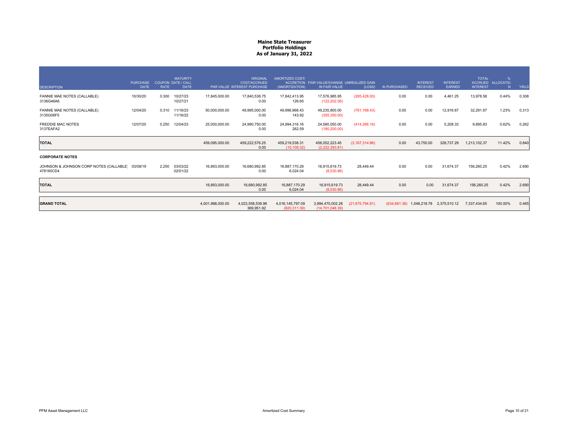| <b>DESCRIPTION</b>                                            | <b>PURCHASE</b><br><b>DATE</b> | <b>RATE</b> | <b>MATURITY</b><br><b>COUPON DATE / CALL</b><br><b>DATE</b> |                  | <b>ORIGINAL</b><br><b>COST/ACCRUED</b><br>PAR VALUE INTEREST PURCHASE | <b>AMORTIZED COST/</b><br>(AMORTIZATION) | ACCRETION FAIR VALUE/CHANGE UNREALIZED GAIN<br>IN FAIR VALUE | (LOSS)            | AI PURCHASED | <b>INTEREST</b><br><b>RECEIVED</b> | <b>INTEREST</b><br>EARNED | <b>TOTAL</b><br><b>INTEREST</b> | %<br>ACCRUED ALLOCATIO | YIELD |
|---------------------------------------------------------------|--------------------------------|-------------|-------------------------------------------------------------|------------------|-----------------------------------------------------------------------|------------------------------------------|--------------------------------------------------------------|-------------------|--------------|------------------------------------|---------------------------|---------------------------------|------------------------|-------|
| FANNIE MAE NOTES (CALLABLE)<br>3136G46A6                      | 10/30/20                       | 0.300       | 10/27/23<br>10/27/21                                        | 17,845,000.00    | 17.840.538.75<br>0.00                                                 | 17.842.413.95<br>126.65                  | 17.576.985.95<br>(122, 202.56)                               | (265, 428.00)     | 0.00         | 0.00                               | 4,461.25                  | 13,978.58                       | 0.44%                  | 0.308 |
| FANNIE MAE NOTES (CALLABLE)<br>3135G06F5                      | 12/04/20                       | 0.310       | 11/16/23<br>11/16/22                                        | 50,000,000.00    | 49,995,000.00<br>0.00                                                 | 49.996.968.43<br>143.92                  | 49.235.800.00<br>(355, 350.00)                               | (761, 168.43)     | 0.00         | 0.00                               | 12,916.67                 | 32,291.67                       | 1.23%                  | 0.313 |
| <b>FREDDIE MAC NOTES</b><br>3137EAFA2                         | 12/07/20                       | 0.250       | 12/04/23                                                    | 25,000,000.00    | 24.990.750.00<br>0.00                                                 | 24.994.316.16<br>262.59                  | 24.580.050.00<br>(180, 200.00)                               | (414, 266, 16)    | 0.00         | 0.00                               | 5.208.33                  | 9.895.83                        | 0.62%                  | 0.262 |
| <b>TOTAL</b>                                                  |                                |             |                                                             | 459,095,000.00   | 459,222,576.25<br>0.00                                                | 459,219,538.31<br>(10.108.32)            | 456,052,223.45<br>(2,222,393.81)                             | (3, 167, 314.86)  | 0.00         | 43.750.00                          | 328,737.29                | 1,213,102.37                    | 11.42%                 | 0.840 |
| <b>CORPORATE NOTES</b>                                        |                                |             |                                                             |                  |                                                                       |                                          |                                                              |                   |              |                                    |                           |                                 |                        |       |
| JOHNSON & JOHNSON CORP NOTES (CALLABLE) 03/08/19<br>478160CD4 |                                | 2.250       | 03/03/22<br>02/01/22                                        | 16,893,000.00    | 16.680.992.85<br>0.00                                                 | 16.887.170.29<br>6.024.04                | 16.915.619.73<br>(8,530.96)                                  | 28.449.44         | 0.00         | 0.00                               | 31.674.37                 | 156,260.25                      | 0.42%                  | 2.690 |
| <b>TOTAL</b>                                                  |                                |             |                                                             | 16,893,000.00    | 16,680,992.85<br>0.00                                                 | 16.887.170.29<br>6.024.04                | 16,915,619.73<br>(8.530.96)                                  | 28,449,44         | 0.00         | 0.00                               | 31.674.37                 | 156.260.25                      | 0.42%                  | 2.690 |
| <b>GRAND TOTAL</b>                                            |                                |             |                                                             | 4,001,988,000.00 | 4,023,558,539.96<br>369,951.92                                        | 4,016,145,797.09<br>(820, 311.39)        | 3,994,470,002.28<br>(14,701,048.39)                          | (21, 675, 794.81) |              | $(634,681.38)$ 1,548,218.78        | 2,375,510.12              | 7,337,434.65                    | 100.00%                | 0.465 |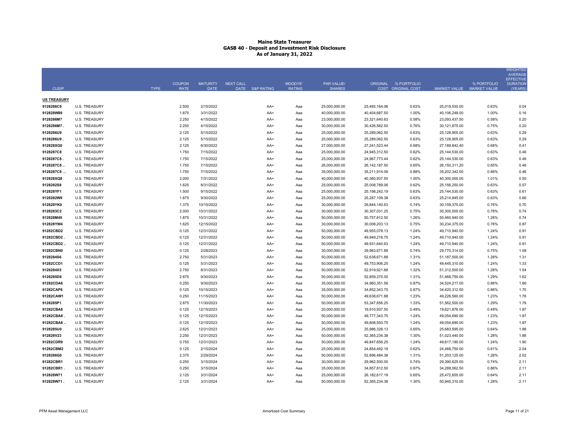|                        |                                              |             |                              |                                |                  |                 |                          |                                    |                                |                                            |                                |                                          | <b>WEIGHTED</b><br><b>AVERAGE</b><br><b>EFFECTIVE</b> |
|------------------------|----------------------------------------------|-------------|------------------------------|--------------------------------|------------------|-----------------|--------------------------|------------------------------------|--------------------------------|--------------------------------------------|--------------------------------|------------------------------------------|-------------------------------------------------------|
| <b>CUSIP</b>           |                                              | <b>TYPE</b> | <b>COUPON</b><br><b>RATE</b> | <b>MATURITY</b><br><b>DATE</b> | <b>NEXT CALL</b> | DATE S&P RATING | MOODYS'<br><b>RATING</b> | <b>PAR VALUE/</b><br><b>SHARES</b> |                                | ORIGINAL % PORTFOLIO<br>COST ORIGINAL COST |                                | % PORTFOLIO<br>MARKET VALUE MARKET VALUE | <b>DURATION</b><br>(YEARS                             |
| <b>US TREASURY</b>     |                                              |             |                              |                                |                  |                 |                          |                                    |                                |                                            |                                |                                          |                                                       |
| 9128286C9              | <b>U.S. TREASURY</b>                         |             | 2.500                        | 2/15/2022                      |                  | AA+             | Aaa                      | 25,000,000.00                      | 25,493,164.06                  | 0.63%                                      | 25,019,530.00                  | 0.63%                                    | 0.04                                                  |
| 912828W89              | <b>U.S. TREASURY</b>                         |             | 1.875                        | 3/31/2022                      |                  | AA+             | Aaa                      | 40,000,000.00                      | 40,404,687.50                  | 1.00%                                      | 40,106,248.00                  | 1.00%                                    | 0.16                                                  |
| 9128286M7              | <b>U.S. TREASURY</b>                         |             | 2.250                        | 4/15/2022                      |                  | AA+             | Aaa                      | 23,000,000.00                      | 23,321,640.63                  | 0.58%                                      | 23,093,437.50                  | 0.58%                                    | 0.20                                                  |
| 9128286M7.             | <b>U.S. TREASURY</b>                         |             | 2.250                        | 4/15/2022                      |                  | AA+             | Aaa                      | 30,000,000.00                      | 30,426,562.50                  | 0.76%                                      | 30,121,875.00                  | 0.75%                                    | 0.20                                                  |
| 9128286U9              | <b>U.S. TREASURY</b>                         |             | 2.125                        | 5/15/2022                      |                  | AA+             | Aaa                      | 25,000,000.00                      | 25,289,062.50                  | 0.63%                                      | 25,128,905.00                  | 0.63%                                    | 0.29                                                  |
| 9128286U9              | <b>U.S. TREASURY</b>                         |             | 2.125                        | 5/15/2022                      |                  | AA+             | Aaa                      | 25,000,000.00                      | 25,289,062.50                  | 0.63%                                      | 25,128,905.00                  | 0.63%                                    | 0.29                                                  |
| 912828XG0              | <b>U.S. TREASURY</b>                         |             | 2.125                        | 6/30/2022                      |                  | AA+             | Aaa                      | 27,000,000.00                      | 27,241,523.44                  | 0.68%                                      | 27,189,842.40                  | 0.68%                                    | 0.41                                                  |
| 9128287C8              | <b>U.S. TREASURY</b>                         |             | 1.750                        | 7/15/2022                      |                  | AA+             | Aaa                      | 25,000,000.00                      | 24,945,312.50                  | 0.62%                                      | 25,144,530.00                  | 0.63%                                    | 0.46                                                  |
| 9128287C8.             | <b>U.S. TREASURY</b>                         |             | 1.750                        | 7/15/2022                      |                  | AA+             | Aaa                      | 25,000,000.00                      | 24,967,773.44                  | 0.62%                                      | 25,144,530.00                  | 0.63%                                    | 0.46                                                  |
| 9128287C8              | <b>U.S. TREASURY</b>                         |             | 1.750                        | 7/15/2022                      |                  | AA+             | Aaa                      | 26,000,000.00                      | 26, 142, 187.50                | 0.65%                                      | 26,150,311.20                  | 0.65%                                    | 0.46                                                  |
| 9128287C8              | <b>U.S. TREASURY</b>                         |             | 1.750                        | 7/15/2022                      |                  | AA+             | Aaa                      | 35,000,000.00                      | 35,211,914.06                  | 0.88%                                      | 35,202,342.00                  | 0.88%                                    | 0.46                                                  |
| 912828XQ8              | <b>U.S. TREASURY</b>                         |             | 2.000                        | 7/31/2022                      |                  | AA+             | Aaa                      | 40,000,000.00                      | 40,360,937.50                  | 1.00%                                      | 40,300,000.00                  | 1.01%                                    | 0.50                                                  |
| 9128282S8              | <b>U.S. TREASURY</b>                         |             | 1.625                        | 8/31/2022                      |                  | AA+             | Aaa                      | 25,000,000.00                      | 25,008,789.06                  | 0.62%                                      | 25,156,250.00                  | 0.63%                                    | 0.57                                                  |
| 912828YF1              | <b>U.S. TREASURY</b>                         |             | 1.500                        | 9/15/2022                      |                  | AA+             | Aaa                      | 25,000,000.00                      | 25,198,242.19                  | 0.63%                                      | 25,144,530.00                  | 0.63%                                    | 0.61                                                  |
| 9128282W9              | <b>U.S. TREASURY</b>                         |             | 1.875                        | 9/30/2022                      |                  | AA+             | Aaa                      | 25,000,000.00                      | 25,287,109.38                  | 0.63%                                      | 25,214,845.00                  | 0.63%                                    | 0.66                                                  |
| 912828YK0<br>9128283C2 | <b>U.S. TREASURY</b><br><b>U.S. TREASURY</b> |             | 1.375<br>2.000               | 10/15/2022<br>10/31/2022       |                  | AA+<br>AA+      | Aaa<br>Aaa               | 30,000,000.00<br>30,000,000.00     | 29,844,140.63<br>30,307,031.25 | 0.74%<br>0.75%                             | 30,159,375.00<br>30,300,000.00 | 0.76%<br>0.76%                           | 0.70<br>0.74                                          |
| 912828M49              | <b>U.S. TREASURY</b>                         |             | 1.875                        | 10/31/2022                     |                  | AA+             | Aaa                      | 50,000,000.00                      | 50,757,812.50                  | 1.26%                                      | 50,460,940.00                  | 1.26%                                    | 0.74                                                  |
| 912828YW4              | <b>U.S. TREASURY</b>                         |             | 1.625                        | 12/15/2022                     |                  | AA+             | Aaa                      | 30,000,000.00                      | 30,008,203.13                  | 0.75%                                      | 30,234,375.00                  | 0.76%                                    | 0.87                                                  |
| 91282CBD2              | <b>U.S. TREASURY</b>                         |             | 0.125                        | 12/31/2022                     |                  | AA+             | Aaa                      | 50,000,000.00                      | 49,955,078.13                  | 1.24%                                      | 49,710,940.00                  | 1.24%                                    | 0.91                                                  |
| 91282CBD2              | <b>U.S. TREASURY</b>                         |             | 0.125                        | 12/31/2022                     |                  | AA+             | Aaa                      | 50,000,000.00                      | 49,949,218.75                  | 1.24%                                      | 49,710,940.00                  | 1.24%                                    | 0.91                                                  |
| 91282CBD2.             | <b>U.S. TREASURY</b>                         |             | 0.125                        | 12/31/2022                     |                  | AA+             | Aaa                      | 50,000,000.00                      | 49,931,640.63                  | 1.24%                                      | 49,710,940.00                  | 1.24%                                    | 0.91                                                  |
| 91282CBN0              | <b>U.S. TREASURY</b>                         |             | 0.125                        | 2/28/2023                      |                  | AA+             | Aaa                      | 30,000,000.00                      | 29,963,671.88                  | 0.74%                                      | 29,770,314.00                  | 0.75%                                    | 1.08                                                  |
| 9128284S6              | <b>U.S. TREASURY</b>                         |             | 2.750                        | 5/31/2023                      |                  | AA+             | Aaa                      | 50,000,000.00                      | 52,638,671.88                  | 1.31%                                      | 51,187,500.00                  | 1.28%                                    | 1.31                                                  |
| 91282CCD1              | <b>U.S. TREASURY</b>                         |             | 0.125                        | 5/31/2023                      |                  | AA+             | Aaa                      | 50,000,000.00                      | 49,753,906.25                  | 1.24%                                      | 49,445,310.00                  | 1.24%                                    | 1.33                                                  |
| 9128284X5              | <b>U.S. TREASURY</b>                         |             | 2.750                        | 8/31/2023                      |                  | AA+             | Aaa                      | 50,000,000.00                      | 52,919,921.88                  | 1.32%                                      | 51,312,500.00                  | 1.28%                                    | 1.54                                                  |
| 9128285D8              | <b>U.S. TREASURY</b>                         |             | 2.875                        | 9/30/2023                      |                  | AA+             | Aaa                      | 50,000,000.00                      | 52,859,375.00                  | 1.31%                                      | 51,468,750.00                  | 1.29%                                    | 1.62                                                  |
| 91282CDA6              | <b>U.S. TREASURY</b>                         |             | 0.250                        | 9/30/2023                      |                  | AA+             | Aaa                      | 35,000,000.00                      | 34,960,351.56                  | 0.87%                                      | 34,524,217.00                  | 0.86%                                    | 1.66                                                  |
| 91282CAP6              | <b>U.S. TREASURY</b>                         |             | 0.125                        | 10/15/2023                     |                  | AA+             | Aaa                      | 35,000,000.00                      | 34,852,343.75                  | 0.87%                                      | 34,420,312.50                  | 0.86%                                    | 1.70                                                  |
| 91282CAW1              | <b>U.S. TREASURY</b>                         |             | 0.250                        | 11/15/2023                     |                  | AA+             | Aaa                      | 50,000,000.00                      | 49,638,671.88                  | 1.23%                                      | 49,226,560.00                  | 1.23%                                    | 1.78                                                  |
| 9128285P1              | <b>U.S. TREASURY</b>                         |             | 2.875                        | 11/30/2023                     |                  | $AA+$           | Aaa                      | 50,000,000.00                      | 53,347,656.25                  | 1.33%                                      | 51,562,500.00                  | 1.29%                                    | 1.79                                                  |
| 91282CBA8              | <b>U.S. TREASURY</b>                         |             | 0.125                        | 12/15/2023                     |                  | AA+             | Aaa                      | 20,000,000.00                      | 19,910,937.50                  | 0.49%                                      | 19,621,876.00                  | 0.49%                                    | 1.87                                                  |
| 91282CBA8              | <b>U.S. TREASURY</b>                         |             | 0.125                        | 12/15/2023                     |                  | AA+             | Aaa                      | 50,000,000.00                      | 49,777,343.75                  | 1.24%                                      | 49,054,690.00                  | 1.23%                                    | 1.87                                                  |
| 91282CBA8.             | <b>U.S. TREASURY</b>                         |             | 0.125                        | 12/15/2023                     |                  | AA+             | Aaa                      | 50,000,000.00                      | 49,808,593.75                  | 1.24%                                      | 49,054,690.00                  | 1.23%                                    | 1.87                                                  |
| 9128285U0              | <b>U.S. TREASURY</b>                         |             | 2.625                        | 12/31/2023                     |                  | AA+             | Aaa                      | 25,000,000.00                      | 25,986,328.13                  | 0.65%                                      | 25,683,595.00                  | 0.64%                                    | 1.88                                                  |
| 912828V23              | <b>U.S. TREASURY</b>                         |             | 2.250                        | 12/31/2023                     |                  | AA+             | Aaa                      | 50,000,000.00                      | 52.365.234.38                  | 1.30%                                      | 51,023,440.00                  | 1.28%                                    | 1.88                                                  |
| 91282CDR9              | <b>U.S. TREASURY</b>                         |             | 0.750                        | 12/31/2023                     |                  | AA+             | Aaa                      | 50,000,000.00                      | 49,847,656.25                  | 1.24%                                      | 49,617,190.00                  | 1.24%                                    | 1.90                                                  |
| 91282CBM2              | <b>U.S. TREASURY</b>                         |             | 0.125                        | 2/15/2024                      |                  | AA+             | Aaa                      | 25,000,000.00                      | 24,854,492.19                  | 0.62%                                      | 24,468,750.00                  | 0.61%                                    | 2.04                                                  |
| 9128286G0              | <b>U.S. TREASURY</b>                         |             | 2.375                        | 2/29/2024                      |                  | AA+             | Aaa                      | 50,000,000.00                      | 52,896,484.38                  | 1.31%                                      | 51,203,125.00                  | 1.28%                                    | 2.02                                                  |
| 91282CBR1              | <b>U.S. TREASURY</b>                         |             | 0.250                        | 3/15/2024                      |                  | AA+             | Aaa                      | 30,000,000.00                      | 29,962,500.00                  | 0.74%                                      | 29,390,625.00                  | 0.74%                                    | 2.11                                                  |
| 91282CBR1              | <b>U.S. TREASURY</b>                         |             | 0.250                        | 3/15/2024                      |                  | AA+             | Aaa                      | 35,000,000.00                      | 34,857,812.50                  | 0.87%                                      | 34,289,062.50                  | 0.86%                                    | 2.11                                                  |
| 912828W71              | <b>U.S. TREASURY</b>                         |             | 2.125                        | 3/31/2024                      |                  | AA+             | Aaa                      | 25,000,000.00                      | 26, 182, 617. 19               | 0.65%                                      | 25,472,655.00                  | 0.64%                                    | 2.11                                                  |
| 912828W71              | <b>U.S. TREASURY</b>                         |             | 2.125                        | 3/31/2024                      |                  | AA+             | Ааа                      | 50,000,000.00                      | 52,365,234.38                  | 1.30%                                      | 50,945,310.00                  | 1.28%                                    | 2.11                                                  |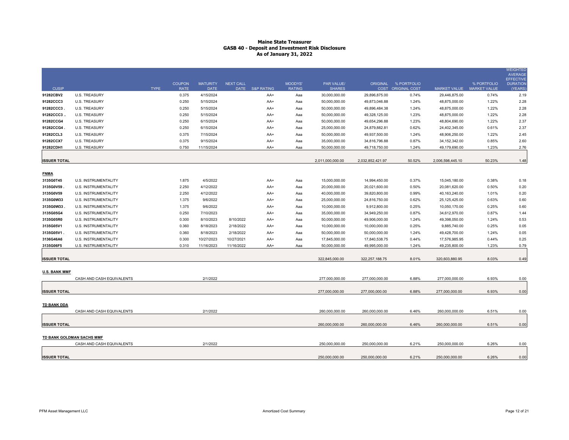| <b>CUSIP</b>         |                             | <b>TYPE</b> | <b>COUPON</b><br><b>RATE</b> | <b>MATURITY</b><br><b>DATE</b> | <b>NEXT CALL</b> | DATE S&P RATING | MOODYS'<br><b>RATING</b> | <b>PAR VALUE/</b><br><b>SHARES</b> | ORIGINAL          | % PORTFOLIO<br>COST ORIGINAL COST |                  | % PORTFOLIO<br>MARKET VALUE MARKET VALUE | <b>WEIGHTED</b><br><b>AVERAGE</b><br><b>EFFECTIVE</b><br><b>DURATION</b><br>(YEARS) |
|----------------------|-----------------------------|-------------|------------------------------|--------------------------------|------------------|-----------------|--------------------------|------------------------------------|-------------------|-----------------------------------|------------------|------------------------------------------|-------------------------------------------------------------------------------------|
| 91282CBV2            | <b>U.S. TREASURY</b>        |             | 0.375                        | 4/15/2024                      |                  | AA+             | Aaa                      | 30,000,000.00                      | 29,896,875.00     | 0.74%                             | 29,446,875.00    | 0.74%                                    | 2.19                                                                                |
| 91282CCC3            | <b>U.S. TREASURY</b>        |             | 0.250                        | 5/15/2024                      |                  | AA+             | Aaa                      | 50,000,000.00                      | 49,873,046.88     | 1.24%                             | 48,875,000.00    | 1.22%                                    | 2.28                                                                                |
| 91282CCC3.           | <b>U.S. TREASURY</b>        |             | 0.250                        | 5/15/2024                      |                  | AA+             | Aaa                      | 50,000,000.00                      | 49,896,484.38     | 1.24%                             | 48,875,000.00    | 1.22%                                    | 2.28                                                                                |
| 91282CCC3.           | <b>U.S. TREASURY</b>        |             | 0.250                        | 5/15/2024                      |                  | AA+             | Aaa                      | 50,000,000.00                      | 49,328,125.00     | 1.23%                             | 48,875,000.00    | 1.22%                                    | 2.28                                                                                |
| 91282CCG4            | <b>U.S. TREASURY</b>        |             | 0.250                        | 6/15/2024                      |                  | AA+             | Aaa                      | 50,000,000.00                      | 49,654,296.88     | 1.23%                             | 48,804,690.00    | 1.22%                                    | 2.37                                                                                |
| 91282CCG4            | <b>U.S. TREASURY</b>        |             | 0.250                        | 6/15/2024                      |                  | AA+             | Aaa                      | 25,000,000.00                      | 24,879,882.81     | 0.62%                             | 24,402,345.00    | 0.61%                                    | 2.37                                                                                |
| 91282CCL3            | <b>U.S. TREASURY</b>        |             | 0.375                        | 7/15/2024                      |                  | AA+             | Aaa                      | 50,000,000.00                      | 49,937,500.00     | 1.24%                             | 48,906,250.00    | 1.22%                                    | 2.45                                                                                |
| 91282CCX7            | <b>U.S. TREASURY</b>        |             | 0.375                        | 9/15/2024                      |                  | AA+             | Aaa                      | 35,000,000.00                      | 34,816,796.88     | 0.87%                             | 34, 152, 342.00  | 0.85%                                    | 2.60                                                                                |
| 91282CDH1            | <b>U.S. TREASURY</b>        |             | 0.750                        | 11/15/2024                     |                  | AA+             | Aaa                      | 50,000,000.00                      | 49,718,750.00     | 1.24%                             | 49,179,690.00    | 1.23%                                    | 2.76                                                                                |
|                      |                             |             |                              |                                |                  |                 |                          |                                    |                   |                                   |                  |                                          |                                                                                     |
| <b>ISSUER TOTAL</b>  |                             |             |                              |                                |                  |                 |                          | 2,011,000,000.00                   | 2,032,852,421.97  | 50.52%                            | 2,006,598,445.10 | 50.23%                                   | 1.48                                                                                |
| <b>FNMA</b>          |                             |             |                              |                                |                  |                 |                          |                                    |                   |                                   |                  |                                          |                                                                                     |
| 3135G0T45            | U.S. INSTRUMENTALITY        |             | 1.875                        | 4/5/2022                       |                  | AA+             | Aaa                      | 15,000,000.00                      | 14,994,450.00     | 0.37%                             | 15,045,180.00    | 0.38%                                    | 0.18                                                                                |
| 3135G0V59            | U.S. INSTRUMENTALITY        |             | 2.250                        | 4/12/2022                      |                  | AA+             | Aaa                      | 20,000,000.00                      | 20,021,600.00     | 0.50%                             | 20,081,620.00    | 0.50%                                    | 0.20                                                                                |
| 3135G0V59            | U.S. INSTRUMENTALITY        |             | 2.250                        | 4/12/2022                      |                  | AA+             | Aaa                      | 40,000,000.00                      | 39,820,800.00     | 0.99%                             | 40,163,240.00    | 1.01%                                    | 0.20                                                                                |
| 3135G0W33            | U.S. INSTRUMENTALITY        |             | 1.375                        | 9/6/2022                       |                  | AA+             | Aaa                      | 25,000,000.00                      | 24,816,750.00     | 0.62%                             | 25,125,425.00    | 0.63%                                    | 0.60                                                                                |
| 3135G0W33            | <b>U.S. INSTRUMENTALITY</b> |             | 1.375                        | 9/6/2022                       |                  | $AA+$           | Aaa                      | 10,000,000.00                      | 9,912,800.00      | 0.25%                             | 10,050,170.00    | 0.25%                                    | 0.60                                                                                |
| 3135G05G4            | U.S. INSTRUMENTALITY        |             | 0.250                        | 7/10/2023                      |                  | AA+             | Aaa                      | 35,000,000.00                      | 34,949,250.00     | 0.87%                             | 34,612,970.00    | 0.87%                                    | 1.44                                                                                |
| 3135G05R0            | <b>U.S. INSTRUMENTALITY</b> |             | 0.300                        | 8/10/2023                      | 8/10/2022        | $AA+$           | Aaa                      | 50,000,000.00                      | 49,906,000.00     | 1.24%                             | 49,398,050.00    | 1.24%                                    | 0.53                                                                                |
| 3135G05V1            | U.S. INSTRUMENTALITY        |             | 0.360                        | 8/18/2023                      | 2/18/2022        | AA+             | Aaa                      | 10,000,000.00                      | 10,000,000.00     | 0.25%                             | 9,885,740.00     | 0.25%                                    | 0.05                                                                                |
| 3135G05V1.           | U.S. INSTRUMENTALITY        |             | 0.360                        | 8/18/2023                      | 2/18/2022        | AA+             | Aaa                      | 50,000,000.00                      | 50,000,000.00     | 1.24%                             | 49,428,700.00    | 1.24%                                    | 0.05                                                                                |
| 3136G46A6            | U.S. INSTRUMENTALITY        |             | 0.300                        | 10/27/2023                     | 10/27/2021       | AA+             | Aaa                      | 17,845,000.00                      | 17,840,538.75     | 0.44%                             | 17,576,985.95    | 0.44%                                    | 0.25                                                                                |
| 3135G06F5            | U.S. INSTRUMENTALITY        |             | 0.310                        | 11/16/2023                     | 11/16/2022       | AA+             | Aaa                      | 50,000,000.00                      | 49,995,000.00     | 1.24%                             | 49,235,800.00    | 1.23%                                    | 0.79                                                                                |
| <b>ISSUER TOTAL</b>  |                             |             |                              |                                |                  |                 |                          | 322,845,000.00                     | 322, 257, 188. 75 | 8.01%                             | 320,603,880.95   | 8.03%                                    | 0.49                                                                                |
| <b>U.S. BANK MMF</b> |                             |             |                              |                                |                  |                 |                          |                                    |                   |                                   |                  |                                          |                                                                                     |
|                      | CASH AND CASH EQUIVALENTS   |             |                              | 2/1/2022                       |                  |                 |                          | 277,000,000.00                     | 277,000,000.00    | 6.88%                             | 277,000,000.00   | 6.93%                                    | 0.00                                                                                |
| <b>ISSUER TOTAL</b>  |                             |             |                              |                                |                  |                 |                          | 277,000,000.00                     | 277.000.000.00    | 6.88%                             | 277,000,000.00   | 6.93%                                    | 0.00                                                                                |
| <b>TD BANK DDA</b>   |                             |             |                              |                                |                  |                 |                          |                                    |                   |                                   |                  |                                          |                                                                                     |
|                      | CASH AND CASH EQUIVALENTS   |             |                              | 2/1/2022                       |                  |                 |                          | 260,000,000.00                     | 260,000,000.00    | 6.46%                             | 260,000,000.00   | 6.51%                                    | 0.00                                                                                |
| <b>ISSUER TOTAL</b>  |                             |             |                              |                                |                  |                 |                          | 260,000,000.00                     | 260,000,000.00    | 6.46%                             | 260,000,000.00   | 6.51%                                    | 0.00                                                                                |
|                      | TD BANK GOLDMAN SACHS MMF   |             |                              |                                |                  |                 |                          |                                    |                   |                                   |                  |                                          |                                                                                     |
|                      | CASH AND CASH EQUIVALENTS   |             |                              | 2/1/2022                       |                  |                 |                          | 250,000,000.00                     | 250,000,000.00    | 6.21%                             | 250,000,000.00   | 6.26%                                    | 0.00                                                                                |
| <b>ISSUER TOTAL</b>  |                             |             |                              |                                |                  |                 |                          | 250,000,000.00                     | 250,000,000.00    | 6.21%                             | 250,000,000.00   | 6.26%                                    | 0.00                                                                                |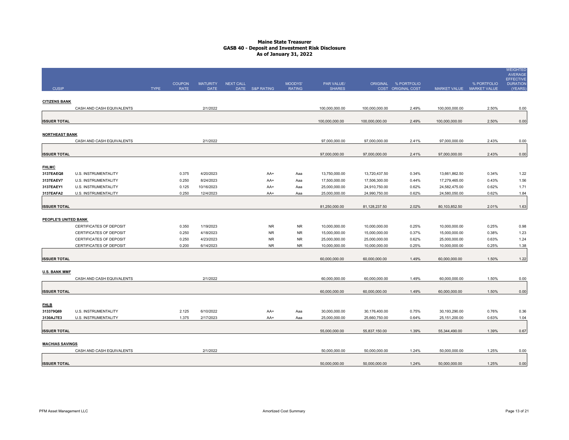|                           |                                                           |             |                |                        |                  |                        |                 |                                |                                |                      |                                  |                           | <b>WEIGHTED</b><br><b>AVERAGE</b>   |
|---------------------------|-----------------------------------------------------------|-------------|----------------|------------------------|------------------|------------------------|-----------------|--------------------------------|--------------------------------|----------------------|----------------------------------|---------------------------|-------------------------------------|
|                           |                                                           |             | <b>COUPON</b>  | <b>MATURITY</b>        | <b>NEXT CALL</b> |                        | MOODYS'         | PAR VALUE/                     |                                | ORIGINAL % PORTFOLIO |                                  | % PORTFOLIO               | <b>EFFECTIVE</b><br><b>DURATION</b> |
| <b>CUSIP</b>              |                                                           | <b>TYPE</b> | <b>RATE</b>    | <b>DATE</b>            |                  | DATE S&P RATING        | <b>RATING</b>   | <b>SHARES</b>                  |                                | COST ORIGINAL COST   |                                  | MARKET VALUE MARKET VALUE | (YEARS)                             |
|                           |                                                           |             |                |                        |                  |                        |                 |                                |                                |                      |                                  |                           |                                     |
| <b>CITIZENS BANK</b>      | CASH AND CASH EQUIVALENTS                                 |             |                | 2/1/2022               |                  |                        |                 | 100,000,000.00                 | 100,000,000.00                 | 2.49%                | 100,000,000.00                   | 2.50%                     | 0.00                                |
|                           |                                                           |             |                |                        |                  |                        |                 |                                |                                |                      |                                  |                           |                                     |
| <b>ISSUER TOTAL</b>       |                                                           |             |                |                        |                  |                        |                 | 100,000,000.00                 | 100,000,000.00                 | 2.49%                | 100,000,000.00                   | 2.50%                     | 0.00                                |
| <b>NORTHEAST BANK</b>     |                                                           |             |                |                        |                  |                        |                 |                                |                                |                      |                                  |                           |                                     |
|                           | CASH AND CASH EQUIVALENTS                                 |             |                | 2/1/2022               |                  |                        |                 | 97,000,000.00                  | 97,000,000.00                  | 2.41%                | 97,000,000.00                    | 2.43%                     | 0.00                                |
|                           |                                                           |             |                |                        |                  |                        |                 |                                |                                |                      |                                  |                           |                                     |
| <b>ISSUER TOTAL</b>       |                                                           |             |                |                        |                  |                        |                 | 97,000,000.00                  | 97,000,000.00                  | 2.41%                | 97,000,000.00                    | 2.43%                     | 0.00                                |
|                           |                                                           |             |                |                        |                  |                        |                 |                                |                                |                      |                                  |                           |                                     |
| <b>FHLMC</b><br>3137EAEQ8 | U.S. INSTRUMENTALITY                                      |             | 0.375          | 4/20/2023              |                  | AA+                    | Aaa             | 13,750,000.00                  | 13,720,437.50                  | 0.34%                | 13,661,862.50                    | 0.34%                     | 1.22                                |
| 3137EAEV7                 | U.S. INSTRUMENTALITY                                      |             | 0.250          | 8/24/2023              |                  | AA+                    | Aaa             | 17,500,000.00                  | 17,506,300.00                  | 0.44%                | 17,279,465.00                    | 0.43%                     | 1.56                                |
| 3137EAEY1                 | <b>U.S. INSTRUMENTALITY</b>                               |             | 0.125          | 10/16/2023             |                  | AA+                    | Aaa             | 25,000,000.00                  | 24,910,750.00                  | 0.62%                | 24,582,475.00                    | 0.62%                     | 1.71                                |
| 3137EAFA2                 | U.S. INSTRUMENTALITY                                      |             | 0.250          | 12/4/2023              |                  | AA+                    | Aaa             | 25,000,000.00                  | 24,990,750.00                  | 0.62%                | 24,580,050.00                    | 0.62%                     | 1.84                                |
|                           |                                                           |             |                |                        |                  |                        |                 |                                |                                |                      |                                  |                           |                                     |
| <b>ISSUER TOTAL</b>       |                                                           |             |                |                        |                  |                        |                 | 81,250,000.00                  | 81,128,237.50                  | 2.02%                | 80,103,852.50                    | 2.01%                     | 1.63                                |
|                           |                                                           |             |                |                        |                  |                        |                 |                                |                                |                      |                                  |                           |                                     |
| PEOPLE'S UNITED BANK      |                                                           |             |                |                        |                  |                        |                 |                                |                                |                      |                                  |                           |                                     |
|                           | CERTIFICATES OF DEPOSIT                                   |             | 0.350          | 1/19/2023              |                  | <b>NR</b>              | <b>NR</b>       | 10,000,000.00                  | 10,000,000.00                  | 0.25%                | 10,000,000.00                    | 0.25%                     | 0.98                                |
|                           | CERTIFICATES OF DEPOSIT                                   |             | 0.250          | 4/18/2023              |                  | <b>NR</b>              | <b>NR</b>       | 15,000,000.00                  | 15,000,000.00                  | 0.37%                | 15,000,000.00                    | 0.38%                     | 1.23                                |
|                           | <b>CERTIFICATES OF DEPOSIT</b><br>CERTIFICATES OF DEPOSIT |             | 0.250<br>0.200 | 4/23/2023<br>6/14/2023 |                  | <b>NR</b><br><b>NR</b> | NR<br><b>NR</b> | 25,000,000.00<br>10,000,000.00 | 25,000,000.00<br>10,000,000.00 | 0.62%<br>0.25%       | 25,000,000.00<br>10,000,000.00   | 0.63%<br>0.25%            | 1.24<br>1.38                        |
|                           |                                                           |             |                |                        |                  |                        |                 |                                |                                |                      |                                  |                           |                                     |
| <b>ISSUER TOTAL</b>       |                                                           |             |                |                        |                  |                        |                 | 60,000,000.00                  | 60,000,000.00                  | 1.49%                | 60,000,000.00                    | 1.50%                     | 1.22                                |
| <b>U.S. BANK MMF</b>      |                                                           |             |                |                        |                  |                        |                 |                                |                                |                      |                                  |                           |                                     |
|                           | CASH AND CASH EQUIVALENTS                                 |             |                | 2/1/2022               |                  |                        |                 | 60,000,000.00                  | 60,000,000.00                  | 1.49%                | 60,000,000.00                    | 1.50%                     | 0.00                                |
|                           |                                                           |             |                |                        |                  |                        |                 |                                |                                |                      |                                  |                           |                                     |
| <b>ISSUER TOTAL</b>       |                                                           |             |                |                        |                  |                        |                 | 60,000,000.00                  | 60,000,000.00                  | 1.49%                | 60,000,000.00                    | 1.50%                     | 0.00                                |
|                           |                                                           |             |                |                        |                  |                        |                 |                                |                                |                      |                                  |                           |                                     |
| <b>FHLB</b>               |                                                           |             |                |                        |                  |                        |                 |                                |                                |                      |                                  |                           |                                     |
| 313379Q69<br>3130AJ7E3    | <b>U.S. INSTRUMENTALITY</b><br>U.S. INSTRUMENTALITY       |             | 2.125<br>1.375 | 6/10/2022<br>2/17/2023 |                  | AA+<br>AA+             | Aaa<br>Aaa      | 30,000,000.00<br>25,000,000.00 | 30,176,400.00<br>25,660,750.00 | 0.75%<br>0.64%       | 30,193,290.00<br>25, 151, 200.00 | 0.76%<br>0.63%            | 0.36<br>1.04                        |
|                           |                                                           |             |                |                        |                  |                        |                 |                                |                                |                      |                                  |                           |                                     |
| <b>ISSUER TOTAL</b>       |                                                           |             |                |                        |                  |                        |                 | 55,000,000.00                  | 55,837,150.00                  | 1.39%                | 55,344,490.00                    | 1.39%                     | 0.67                                |
|                           |                                                           |             |                |                        |                  |                        |                 |                                |                                |                      |                                  |                           |                                     |
| <b>MACHIAS SAVINGS</b>    |                                                           |             |                |                        |                  |                        |                 |                                |                                |                      |                                  |                           |                                     |
|                           | CASH AND CASH EQUIVALENTS                                 |             |                | 2/1/2022               |                  |                        |                 | 50,000,000.00                  | 50,000,000.00                  | 1.24%                | 50,000,000.00                    | 1.25%                     | 0.00                                |
|                           |                                                           |             |                |                        |                  |                        |                 |                                |                                |                      |                                  |                           |                                     |
| <b>ISSUER TOTAL</b>       |                                                           |             |                |                        |                  |                        |                 | 50,000,000.00                  | 50,000,000.00                  | 1.24%                | 50,000,000.00                    | 1.25%                     | 0.00                                |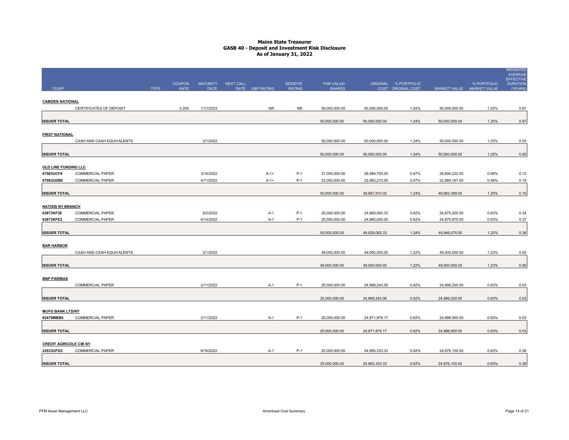|                                            |                           |             |               |                 |                  |                 |               |               |               |                      |                           |             | <b>WEIGHTED</b><br><b>AVERAGE</b>   |
|--------------------------------------------|---------------------------|-------------|---------------|-----------------|------------------|-----------------|---------------|---------------|---------------|----------------------|---------------------------|-------------|-------------------------------------|
|                                            |                           |             | <b>COUPON</b> | <b>MATURITY</b> | <b>NEXT CALL</b> |                 | MOODYS'       | PAR VALUE/    |               | ORIGINAL % PORTFOLIO |                           | % PORTFOLIO | <b>EFFECTIVE</b><br><b>DURATION</b> |
| <b>CUSIP</b>                               |                           | <b>TYPE</b> | <b>RATE</b>   | <b>DATE</b>     |                  | DATE S&P RATING | <b>RATING</b> | <b>SHARES</b> |               | COST ORIGINAL COST   | MARKET VALUE MARKET VALUE |             | (YEARS)                             |
| <b>CAMDEN NATIONAL</b>                     |                           |             |               |                 |                  |                 |               |               |               |                      |                           |             |                                     |
|                                            | CERTIFICATES OF DEPOSIT   |             | 0.200         | 1/17/2023       |                  | <b>NR</b>       | <b>NR</b>     | 50,000,000.00 | 50,000,000.00 | 1.24%                | 50,000,000.00             | 1.25%       | 0.97                                |
|                                            |                           |             |               |                 |                  |                 |               |               |               |                      |                           |             |                                     |
| <b>ISSUER TOTAL</b>                        |                           |             |               |                 |                  |                 |               | 50,000,000.00 | 50,000,000.00 | 1.24%                | 50,000,000.00             | 1.25%       | 0.97                                |
| <b>FIRST NATIONAL</b>                      |                           |             |               |                 |                  |                 |               |               |               |                      |                           |             |                                     |
|                                            | CASH AND CASH EQUIVALENTS |             |               | 2/1/2022        |                  |                 |               | 50,000,000.00 | 50,000,000.00 | 1.24%                | 50,000,000.00             | 1.25%       | 0.00                                |
|                                            |                           |             |               |                 |                  |                 |               |               |               |                      |                           |             |                                     |
| <b>ISSUER TOTAL</b>                        |                           |             |               |                 |                  |                 |               | 50,000,000.00 | 50,000,000.00 | 1.24%                | 50,000,000.00             | 1.25%       | 0.00                                |
| <b>OLD LINE FUNDING LLC</b>                |                           |             |               |                 |                  |                 |               |               |               |                      |                           |             |                                     |
| 67983UCF8                                  | <b>COMMERCIAL PAPER</b>   |             |               | 3/15/2022       |                  | $A-1+$          | $P-1$         | 27,000,000.00 | 26,984,700.00 | 0.67%                | 26,994,222.00             | 0.68%       | 0.12                                |
| 67983UDB6                                  | <b>COMMERCIAL PAPER</b>   |             |               | 4/11/2022       |                  | $A-1+$          | $P-1$         | 23,000,000.00 | 22,983,210.00 | 0.57%                | 22,989,167.00             | 0.58%       | 0.19                                |
|                                            |                           |             |               |                 |                  |                 |               |               |               |                      |                           |             |                                     |
| <b>ISSUER TOTAL</b>                        |                           |             |               |                 |                  |                 |               | 50,000,000.00 | 49,967,910.00 | 1.24%                | 49,983,389.00             | 1.25%       | 0.15                                |
| <b>NATIXIS NY BRANCH</b>                   |                           |             |               |                 |                  |                 |               |               |               |                      |                           |             |                                     |
| 63873KF28                                  | <b>COMMERCIAL PAPER</b>   |             |               | 6/2/2022        |                  | $A-1$           | $P-1$         | 25,000,000.00 | 24,969,083.33 | 0.62%                | 24,975,200.00             | 0.63%       | 0.34                                |
| 63873KFE2                                  | <b>COMMERCIAL PAPER</b>   |             |               | 6/14/2022       |                  | $A-1$           | $P-1$         | 25,000,000.00 | 24,960,000.00 | 0.62%                | 24,970,875.00             | 0.63%       | 0.37                                |
|                                            |                           |             |               |                 |                  |                 |               |               |               |                      |                           |             |                                     |
| <b>ISSUER TOTAL</b>                        |                           |             |               |                 |                  |                 |               | 50,000,000.00 | 49,929,083.33 | 1.24%                | 49,946,075.00             | 1.25%       | 0.36                                |
| <b>BAR HARBOR</b>                          |                           |             |               |                 |                  |                 |               |               |               |                      |                           |             |                                     |
|                                            | CASH AND CASH EQUIVALENTS |             |               | 2/1/2022        |                  |                 |               | 49,000,000.00 | 49,000,000.00 | 1.22%                | 49,000,000.00             | 1.23%       | 0.00                                |
|                                            |                           |             |               |                 |                  |                 |               |               |               |                      |                           |             |                                     |
| <b>ISSUER TOTAL</b>                        |                           |             |               |                 |                  |                 |               | 49,000,000.00 | 49,000,000.00 | 1.22%                | 49,000,000.00             | 1.23%       | 0.00                                |
| <b>BNP PARIBAS</b>                         |                           |             |               |                 |                  |                 |               |               |               |                      |                           |             |                                     |
|                                            | <b>COMMERCIAL PAPER</b>   |             |               | 2/11/2022       |                  | A-1             | $P-1$         | 25,000,000.00 | 24,968,243.06 | 0.62%                | 24,999,200.00             | 0.63%       | 0.03                                |
|                                            |                           |             |               |                 |                  |                 |               |               |               |                      |                           |             |                                     |
| <b>ISSUER TOTAL</b>                        |                           |             |               |                 |                  |                 |               | 25,000,000.00 | 24,968,243.06 | 0.62%                | 24,999,200.00             | 0.63%       | 0.03                                |
|                                            |                           |             |               |                 |                  |                 |               |               |               |                      |                           |             |                                     |
| <b>MUFG BANK LTD/NY</b><br>62479MBB8       | <b>COMMERCIAL PAPER</b>   |             |               | 2/11/2022       |                  | A-1             | $P-1$         | 25,000,000.00 | 24,971,979.17 | 0.62%                | 24,998,950.00             | 0.63%       | 0.03                                |
|                                            |                           |             |               |                 |                  |                 |               |               |               |                      |                           |             |                                     |
| <b>ISSUER TOTAL</b>                        |                           |             |               |                 |                  |                 |               | 25,000,000.00 | 24,971,979.17 | 0.62%                | 24,998,950.00             | 0.63%       | 0.03                                |
|                                            |                           |             |               |                 |                  |                 |               |               |               |                      |                           |             |                                     |
| <b>CREDIT AGRICOLE CIB NY</b><br>22533UFG3 | <b>COMMERCIAL PAPER</b>   |             |               | 6/16/2022       |                  | A-1             | $P-1$         | 25,000,000.00 | 24,965,333.33 | 0.62%                | 24,976,100.00             | 0.63%       | 0.38                                |
|                                            |                           |             |               |                 |                  |                 |               |               |               |                      |                           |             |                                     |
| <b>ISSUER TOTAL</b>                        |                           |             |               |                 |                  |                 |               | 25,000,000.00 | 24,965,333.33 | 0.62%                | 24,976,100.00             | 0.63%       | 0.38                                |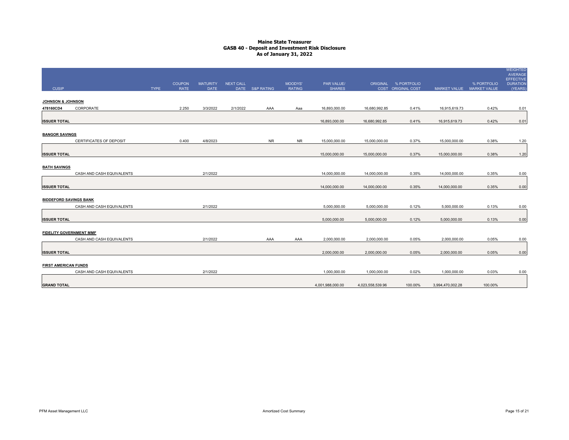|                                |                           |             | <b>COUPON</b> | <b>MATURITY</b> | NEXT CALL |                 | MOODYS'       | PAR VALUE/       |                  | ORIGINAL % PORTFOLIO |                           | % PORTFOLIO | <b>WEIGHTED</b><br>AVERAGE<br><b>EFFECTIVE</b><br><b>DURATION</b> |
|--------------------------------|---------------------------|-------------|---------------|-----------------|-----------|-----------------|---------------|------------------|------------------|----------------------|---------------------------|-------------|-------------------------------------------------------------------|
| <b>CUSIP</b>                   |                           | <b>TYPE</b> | <b>RATE</b>   | <b>DATE</b>     |           | DATE S&P RATING | <b>RATING</b> | <b>SHARES</b>    |                  | COST ORIGINAL COST   | MARKET VALUE MARKET VALUE |             | (YEARS)                                                           |
| JOHNSON & JOHNSON              |                           |             |               |                 |           |                 |               |                  |                  |                      |                           |             |                                                                   |
| 478160CD4                      | CORPORATE                 |             | 2.250         | 3/3/2022        | 2/1/2022  | AAA             | Aaa           | 16,893,000.00    | 16,680,992.85    | 0.41%                | 16,915,619.73             | 0.42%       | 0.01                                                              |
| <b>ISSUER TOTAL</b>            |                           |             |               |                 |           |                 |               | 16,893,000.00    | 16,680,992.85    | 0.41%                | 16,915,619.73             | 0.42%       | 0.01                                                              |
| <b>BANGOR SAVINGS</b>          |                           |             |               |                 |           |                 |               |                  |                  |                      |                           |             |                                                                   |
|                                | CERTIFICATES OF DEPOSIT   |             | 0.400         | 4/8/2023        |           | <b>NR</b>       | <b>NR</b>     | 15,000,000.00    | 15,000,000.00    | 0.37%                | 15,000,000.00             | 0.38%       | 1.20                                                              |
| <b>ISSUER TOTAL</b>            |                           |             |               |                 |           |                 |               | 15,000,000.00    | 15,000,000.00    | 0.37%                | 15,000,000.00             | 0.38%       | 1.20                                                              |
| <b>BATH SAVINGS</b>            |                           |             |               |                 |           |                 |               |                  |                  |                      |                           |             |                                                                   |
|                                | CASH AND CASH EQUIVALENTS |             |               | 2/1/2022        |           |                 |               | 14,000,000.00    | 14,000,000.00    | 0.35%                | 14,000,000.00             | 0.35%       | 0.00                                                              |
| <b>ISSUER TOTAL</b>            |                           |             |               |                 |           |                 |               | 14,000,000.00    | 14,000,000.00    | 0.35%                | 14,000,000.00             | 0.35%       | 0.00                                                              |
| <b>BIDDEFORD SAVINGS BANK</b>  |                           |             |               |                 |           |                 |               |                  |                  |                      |                           |             |                                                                   |
|                                | CASH AND CASH EQUIVALENTS |             |               | 2/1/2022        |           |                 |               | 5.000.000.00     | 5,000,000.00     | 0.12%                | 5,000,000.00              | 0.13%       | 0.00                                                              |
| <b>ISSUER TOTAL</b>            |                           |             |               |                 |           |                 |               | 5,000,000.00     | 5,000,000.00     | 0.12%                | 5,000,000.00              | 0.13%       | 0.00                                                              |
| <b>FIDELITY GOVERNMENT MMF</b> |                           |             |               |                 |           |                 |               |                  |                  |                      |                           |             |                                                                   |
|                                | CASH AND CASH EQUIVALENTS |             |               | 2/1/2022        |           | AAA             | AAA           | 2,000,000.00     | 2,000,000.00     | 0.05%                | 2,000,000.00              | 0.05%       | 0.00                                                              |
| <b>ISSUER TOTAL</b>            |                           |             |               |                 |           |                 |               | 2,000,000.00     | 2,000,000.00     | 0.05%                | 2,000,000.00              | 0.05%       | 0.00                                                              |
| <b>FIRST AMERICAN FUNDS</b>    |                           |             |               |                 |           |                 |               |                  |                  |                      |                           |             |                                                                   |
|                                | CASH AND CASH EQUIVALENTS |             |               | 2/1/2022        |           |                 |               | 1,000,000.00     | 1,000,000.00     | 0.02%                | 1,000,000.00              | 0.03%       | 0.00                                                              |
| <b>GRAND TOTAL</b>             |                           |             |               |                 |           |                 |               | 4,001,988,000.00 | 4,023,558,539.96 | 100.00%              | 3,994,470,002.28          | 100.00%     |                                                                   |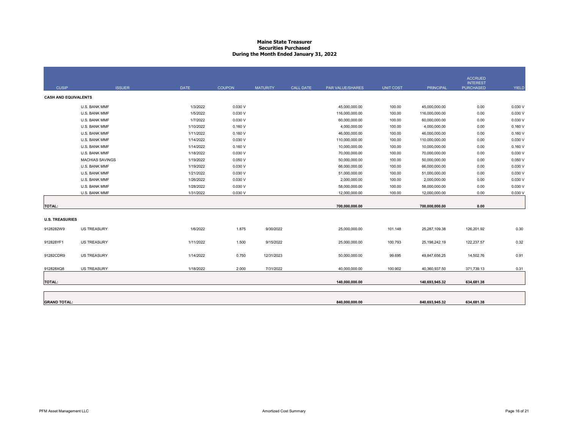#### **Maine State Treasurer Securities PurchasedDuring the Month Ended January 31, 2022**

|                             |                        |             |               |                 |           |                  |                  |                  | <b>ACCRUED</b>                      |              |
|-----------------------------|------------------------|-------------|---------------|-----------------|-----------|------------------|------------------|------------------|-------------------------------------|--------------|
| <b>CUSIP</b>                | <b>ISSUER</b>          | <b>DATE</b> | <b>COUPON</b> | <b>MATURITY</b> | CALL DATE | PAR VALUE/SHARES | <b>UNIT COST</b> | <b>PRINCIPAL</b> | <b>INTEREST</b><br><b>PURCHASED</b> | <b>YIELD</b> |
| <b>CASH AND EQUIVALENTS</b> |                        |             |               |                 |           |                  |                  |                  |                                     |              |
|                             | U.S. BANK MMF          | 1/3/2022    | 0.030V        |                 |           | 45,000,000.00    | 100.00           | 45,000,000.00    | 0.00                                | 0.030 V      |
|                             | U.S. BANK MMF          | 1/5/2022    | 0.030V        |                 |           | 116,000,000.00   | 100.00           | 116,000,000.00   | 0.00                                | 0.030 V      |
|                             | U.S. BANK MMF          | 1/7/2022    | 0.030V        |                 |           | 60,000,000.00    | 100.00           | 60,000,000.00    | 0.00                                | 0.030 V      |
|                             | U.S. BANK MMF          | 1/10/2022   | 0.160V        |                 |           | 4,000,000.00     | 100.00           | 4,000,000.00     | 0.00                                | 0.160V       |
|                             | U.S. BANK MMF          | 1/11/2022   | 0.160V        |                 |           | 46,000,000.00    | 100.00           | 46,000,000.00    | 0.00                                | 0.160V       |
|                             | U.S. BANK MMF          | 1/14/2022   | 0.030V        |                 |           | 110,000,000.00   | 100.00           | 110,000,000.00   | 0.00                                | 0.030 V      |
|                             | U.S. BANK MMF          | 1/14/2022   | 0.160V        |                 |           | 10,000,000.00    | 100.00           | 10,000,000.00    | 0.00                                | 0.160V       |
|                             | U.S. BANK MMF          | 1/18/2022   | 0.030V        |                 |           | 70,000,000.00    | 100.00           | 70,000,000.00    | 0.00                                | 0.030 V      |
|                             | <b>MACHIAS SAVINGS</b> | 1/19/2022   | 0.050V        |                 |           | 50,000,000.00    | 100.00           | 50,000,000.00    | 0.00                                | 0.050 V      |
|                             | U.S. BANK MMF          | 1/19/2022   | 0.030V        |                 |           | 66,000,000.00    | 100.00           | 66,000,000.00    | 0.00                                | 0.030 V      |
|                             | U.S. BANK MMF          | 1/21/2022   | 0.030V        |                 |           | 51,000,000.00    | 100.00           | 51,000,000.00    | 0.00                                | 0.030 V      |
|                             | U.S. BANK MMF          | 1/26/2022   | 0.030V        |                 |           | 2,000,000.00     | 100.00           | 2,000,000.00     | 0.00                                | 0.030 V      |
|                             | U.S. BANK MMF          | 1/28/2022   | 0.030V        |                 |           | 58,000,000.00    | 100.00           | 58,000,000.00    | 0.00                                | 0.030V       |
|                             | U.S. BANK MMF          | 1/31/2022   | 0.030V        |                 |           | 12,000,000.00    | 100.00           | 12,000,000.00    | 0.00                                | 0.030 V      |
|                             |                        |             |               |                 |           |                  |                  |                  |                                     |              |
| <b>TOTAL:</b>               |                        |             |               |                 |           | 700,000,000.00   |                  | 700,000,000.00   | 0.00                                |              |
| <b>U.S. TREASURIES</b>      |                        |             |               |                 |           |                  |                  |                  |                                     |              |
| 9128282W9                   | <b>US TREASURY</b>     | 1/6/2022    | 1.875         | 9/30/2022       |           | 25,000,000.00    | 101.148          | 25,287,109.38    | 126,201.92                          | 0.30         |
|                             |                        |             |               |                 |           |                  |                  |                  |                                     |              |
| 912828YF1                   | <b>US TREASURY</b>     | 1/11/2022   | 1.500         | 9/15/2022       |           | 25,000,000.00    | 100.793          | 25,198,242.19    | 122,237.57                          | 0.32         |
| 91282CDR9                   | <b>US TREASURY</b>     | 1/14/2022   | 0.750         | 12/31/2023      |           | 50,000,000.00    | 99.695           | 49,847,656.25    | 14,502.76                           | 0.91         |
| 912828XQ8                   | <b>US TREASURY</b>     | 1/18/2022   | 2.000         | 7/31/2022       |           | 40,000,000.00    | 100.902          | 40,360,937.50    | 371,739.13                          | 0.31         |
| <b>TOTAL:</b>               |                        |             |               |                 |           | 140,000,000.00   |                  | 140,693,945.32   | 634,681.38                          |              |
|                             |                        |             |               |                 |           |                  |                  |                  |                                     |              |
|                             |                        |             |               |                 |           |                  |                  |                  |                                     |              |
| <b>GRAND TOTAL:</b>         |                        |             |               |                 |           | 840,000,000.00   |                  | 840,693,945.32   | 634,681.38                          |              |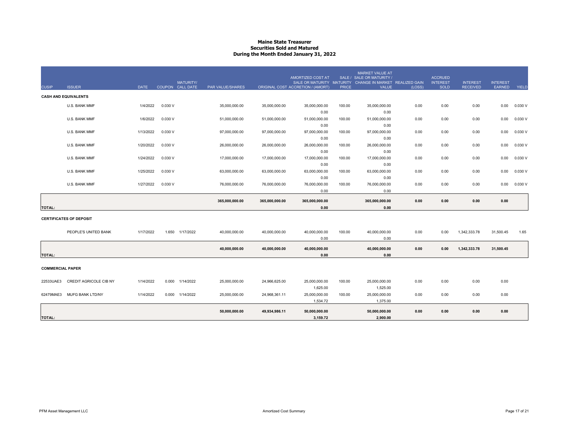#### **Maine State Treasurer Securities Sold and MaturedDuring the Month Ended January 31, 2022**

| <b>CUSIP</b>            | <b>ISSUER</b>                  | <b>DATE</b> |         | <b>MATURITY/</b><br>COUPON CALL DATE | PAR VALUE/SHARES |                | AMORTIZED COST AT<br>SALE OR MATURITY MATURITY<br>ORIGINAL COST ACCRETION / (AMORT) | <b>PRICE</b> | <b>MARKET VALUE AT</b><br>SALE / SALE OR MATURITY /<br>CHANGE IN MARKET REALIZED GAIN<br><b>VALUE</b> | (LOSS) | <b>ACCRUED</b><br><b>INTEREST</b><br><b>SOLD</b> | <b>INTEREST</b><br><b>RECEIVED</b> | <b>INTEREST</b><br>EARNED | YIELD   |
|-------------------------|--------------------------------|-------------|---------|--------------------------------------|------------------|----------------|-------------------------------------------------------------------------------------|--------------|-------------------------------------------------------------------------------------------------------|--------|--------------------------------------------------|------------------------------------|---------------------------|---------|
|                         | <b>CASH AND EQUIVALENTS</b>    |             |         |                                      |                  |                |                                                                                     |              |                                                                                                       |        |                                                  |                                    |                           |         |
|                         | U.S. BANK MMF                  | 1/4/2022    | 0.030V  |                                      | 35,000,000.00    | 35,000,000.00  | 35,000,000.00                                                                       | 100.00       | 35,000,000.00                                                                                         | 0.00   | 0.00                                             | 0.00                               | 0.00                      | 0.030 V |
|                         | U.S. BANK MMF                  | 1/6/2022    | 0.030 V |                                      | 51,000,000.00    | 51,000,000.00  | 0.00<br>51,000,000.00                                                               | 100.00       | 0.00<br>51,000,000.00                                                                                 | 0.00   | 0.00                                             | 0.00                               | 0.00                      | 0.030 V |
|                         | U.S. BANK MMF                  | 1/13/2022   | 0.030 V |                                      | 97,000,000.00    | 97,000,000.00  | 0.00<br>97,000,000.00                                                               | 100.00       | 0.00<br>97,000,000.00                                                                                 | 0.00   | 0.00                                             | 0.00                               | 0.00                      | 0.030V  |
|                         | U.S. BANK MMF                  | 1/20/2022   | 0.030 V |                                      | 26,000,000.00    | 26,000,000.00  | 0.00<br>26,000,000.00                                                               | 100.00       | 0.00<br>26,000,000.00                                                                                 | 0.00   | 0.00                                             | 0.00                               | 0.00                      | 0.030 V |
|                         | U.S. BANK MMF                  | 1/24/2022   | 0.030 V |                                      | 17,000,000.00    | 17,000,000.00  | 0.00<br>17,000,000.00                                                               | 100.00       | 0.00<br>17,000,000.00                                                                                 | 0.00   | 0.00                                             | 0.00                               | 0.00                      | 0.030 V |
|                         | U.S. BANK MMF                  | 1/25/2022   | 0.030 V |                                      | 63,000,000.00    | 63,000,000.00  | 0.00<br>63,000,000.00                                                               | 100.00       | 0.00<br>63,000,000.00                                                                                 | 0.00   | 0.00                                             | 0.00                               | 0.00                      | 0.030V  |
|                         | U.S. BANK MMF                  | 1/27/2022   | 0.030 V |                                      | 76,000,000.00    | 76,000,000.00  | 0.00<br>76,000,000.00                                                               | 100.00       | 0.00<br>76,000,000.00                                                                                 | 0.00   | 0.00                                             | 0.00                               | 0.00                      | 0.030 V |
|                         |                                |             |         |                                      |                  |                | 0.00                                                                                |              | 0.00                                                                                                  |        |                                                  |                                    |                           |         |
| <b>TOTAL:</b>           |                                |             |         |                                      | 365,000,000.00   | 365,000,000.00 | 365,000,000.00<br>0.00                                                              |              | 365,000,000.00<br>0.00                                                                                | 0.00   | 0.00                                             | 0.00                               | 0.00                      |         |
|                         | <b>CERTIFICATES OF DEPOSIT</b> |             |         |                                      |                  |                |                                                                                     |              |                                                                                                       |        |                                                  |                                    |                           |         |
|                         | PEOPLE'S UNITED BANK           | 1/17/2022   | 1.650   | 1/17/2022                            | 40,000,000.00    | 40,000,000.00  | 40,000,000.00                                                                       | 100.00       | 40,000,000.00                                                                                         | 0.00   | 0.00                                             | 1,342,333.78                       | 31,500.45                 | 1.65    |
|                         |                                |             |         |                                      | 40,000,000.00    | 40,000,000.00  | 0.00<br>40,000,000.00                                                               |              | 0.00<br>40,000,000.00                                                                                 | 0.00   | 0.00                                             | 1,342,333.78                       | 31,500.45                 |         |
| <b>TOTAL:</b>           |                                |             |         |                                      |                  |                | 0.00                                                                                |              | 0.00                                                                                                  |        |                                                  |                                    |                           |         |
| <b>COMMERCIAL PAPER</b> |                                |             |         |                                      |                  |                |                                                                                     |              |                                                                                                       |        |                                                  |                                    |                           |         |
| 22533UAE3               | <b>CREDIT AGRICOLE CIB NY</b>  | 1/14/2022   | 0.000   | 1/14/2022                            | 25,000,000.00    | 24,966,625.00  | 25,000,000.00<br>1,625.00                                                           | 100.00       | 25,000,000.00<br>1,525.00                                                                             | 0.00   | 0.00                                             | 0.00                               | 0.00                      |         |
| 62479MAE3               | <b>MUFG BANK LTD/NY</b>        | 1/14/2022   | 0.000   | 1/14/2022                            | 25,000,000.00    | 24,968,361.11  | 25,000,000.00<br>1,534.72                                                           | 100.00       | 25,000,000.00<br>1,375.00                                                                             | 0.00   | 0.00                                             | 0.00                               | 0.00                      |         |
|                         |                                |             |         |                                      | 50,000,000.00    | 49,934,986.11  | 50,000,000.00                                                                       |              | 50,000,000.00                                                                                         | 0.00   | 0.00                                             | 0.00                               | 0.00                      |         |
| <b>TOTAL:</b>           |                                |             |         |                                      |                  |                | 3,159.72                                                                            |              | 2,900.00                                                                                              |        |                                                  |                                    |                           |         |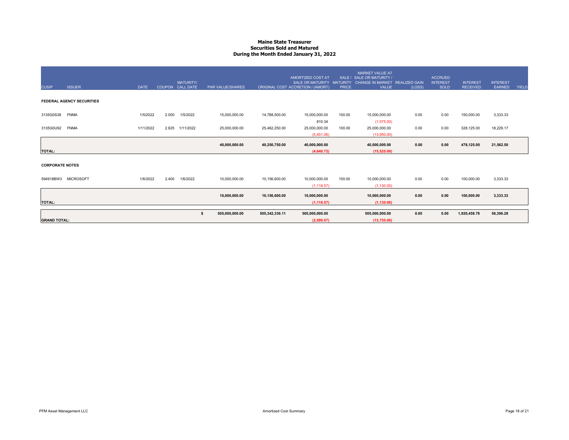#### **Maine State Treasurer Securities Sold and MaturedDuring the Month Ended January 31, 2022**

| <b>CUSIP</b>           | <b>ISSUER</b>                    | <b>DATE</b> |       | <b>MATURITY/</b><br>COUPON CALL DATE | <b>PAR VALUE/SHARES</b> |                | <b>AMORTIZED COST AT</b><br><b>SALE OR MATURITY</b><br>ORIGINAL COST ACCRETION / (AMORT) | <b>MATURITY</b><br><b>PRICE</b> | <b>MARKET VALUE AT</b><br>SALE / SALE OR MATURITY /<br>CHANGE IN MARKET REALIZED GAIN<br>VALUE | (LOSS) | <b>ACCRUED</b><br><b>INTEREST</b><br><b>SOLD</b> | <b>INTEREST</b><br><b>RECEIVED</b> | <b>INTEREST</b><br><b>EARNED</b> | <b>YIELD</b> |
|------------------------|----------------------------------|-------------|-------|--------------------------------------|-------------------------|----------------|------------------------------------------------------------------------------------------|---------------------------------|------------------------------------------------------------------------------------------------|--------|--------------------------------------------------|------------------------------------|----------------------------------|--------------|
|                        | <b>FEDERAL AGENCY SECURITIES</b> |             |       |                                      |                         |                |                                                                                          |                                 |                                                                                                |        |                                                  |                                    |                                  |              |
| 3135G0S38              | <b>FNMA</b>                      | 1/5/2022    | 2.000 | 1/5/2022                             | 15,000,000.00           | 14,788,500.00  | 15,000,000.00<br>810.34                                                                  | 100.00                          | 15,000,000.00<br>(1,575.00)                                                                    | 0.00   | 0.00                                             | 150,000.00                         | 3,333.33                         |              |
| 3135G0U92              | <b>FNMA</b>                      | 1/11/2022   | 2.625 | 1/11/2022                            | 25,000,000.00           | 25,462,250.00  | 25,000,000.00<br>(5,451.06)                                                              | 100.00                          | 25,000,000.00<br>(13,950.00)                                                                   | 0.00   | 0.00                                             | 328,125.00                         | 18,229.17                        |              |
| <b>TOTAL:</b>          |                                  |             |       |                                      | 40,000,000.00           | 40,250,750.00  | 40,000,000.00<br>(4.640.72)                                                              |                                 | 40,000,000.00<br>(15, 525.00)                                                                  | 0.00   | 0.00                                             | 478,125.00                         | 21,562.50                        |              |
| <b>CORPORATE NOTES</b> |                                  |             |       |                                      |                         |                |                                                                                          |                                 |                                                                                                |        |                                                  |                                    |                                  |              |
|                        | 594918BW3 MICROSOFT              | 1/6/2022    | 2.400 | 1/6/2022                             | 10,000,000.00           | 10,156,600.00  | 10,000,000.00<br>(1, 118.57)                                                             | 100.00                          | 10,000,000.00<br>(1, 130.00)                                                                   | 0.00   | 0.00                                             | 100,000.00                         | 3,333.33                         |              |
| <b>TOTAL:</b>          |                                  |             |       |                                      | 10,000,000.00           | 10,156,600.00  | 10,000,000.00<br>(1, 118.57)                                                             |                                 | 10,000,000.00<br>(1, 130.00)                                                                   | 0.00   | 0.00                                             | 100,000.00                         | 3,333.33                         |              |
| <b>GRAND TOTAL:</b>    |                                  |             |       |                                      | 505,000,000.00<br>\$    | 505,342,336.11 | 505,000,000.00<br>(2, 599.57)                                                            |                                 | 505,000,000.00<br>(13,755.00)                                                                  | 0.00   | 0.00                                             | 1,920,458.78                       | 56,396.28                        |              |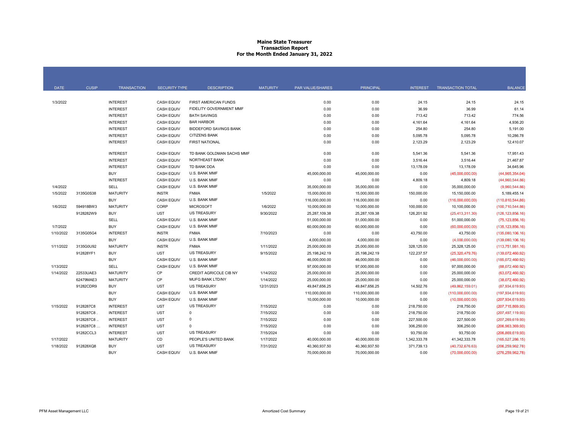#### **Maine State Treasurer Transaction Report For the Month Ended January 31, 2022**

| <b>CUSIP</b><br><b>DATE</b><br><b>TRANSACTION</b><br><b>SECURITY TYPE</b><br><b>DESCRIPTION</b><br><b>MATURITY</b><br>PAR VALUE/SHARES<br><b>PRINCIPAL</b><br><b>INTEREST</b><br><b>TRANSACTION TOTAL</b><br><b>BALANCE</b><br><b>INTEREST</b><br><b>CASH EQUIV</b><br>FIRST AMERICAN FUNDS<br>0.00<br>0.00<br>24.15<br>24.15<br>1/3/2022<br>24.15<br><b>INTEREST</b><br>0.00<br>0.00<br>36.99<br>61.14<br><b>CASH EQUIV</b><br>FIDELITY GOVERNMENT MMF<br>36.99<br>774.56<br><b>INTEREST</b><br><b>CASH EQUIV</b><br><b>BATH SAVINGS</b><br>0.00<br>0.00<br>713.42<br>713.42<br><b>INTEREST</b><br><b>CASH EQUIV</b><br>0.00<br>0.00<br>4,936.20<br><b>BAR HARBOR</b><br>4,161.64<br>4,161.64<br><b>INTEREST</b><br>0.00<br>254.80<br>254.80<br>5,191.00<br><b>CASH EQUIV</b><br><b>BIDDEFORD SAVINGS BANK</b><br>0.00<br><b>INTEREST</b><br><b>CASH EQUIV</b><br><b>CITIZENS BANK</b><br>0.00<br>0.00<br>5,095.78<br>5,095.78<br>10,286.78<br><b>INTEREST</b><br><b>CASH EQUIV</b><br><b>FIRST NATIONAL</b><br>0.00<br>2,123.29<br>2,123.29<br>12,410.07<br>0.00<br><b>INTEREST</b><br>0.00<br>0.00<br><b>CASH EQUIV</b><br>TD BANK GOLDMAN SACHS MMF<br>5,541.36<br>5,541.36<br>17,951.43<br><b>INTEREST</b><br><b>CASH EQUIV</b><br>0.00<br>21,467.87<br><b>NORTHEAST BANK</b><br>0.00<br>3,516.44<br>3,516.44<br><b>INTEREST</b><br>TD BANK DDA<br>0.00<br><b>CASH EQUIV</b><br>0.00<br>13,178.09<br>13,178.09<br>34,645.96<br><b>BUY</b><br><b>CASH EQUIV</b><br>U.S. BANK MMF<br>45,000,000.00<br>45,000,000.00<br>(44,965,354.04)<br>0.00<br>(45,000,000.00)<br><b>INTEREST</b><br><b>CASH EQUIV</b><br>0.00<br>4,809.18<br>4,809.18<br>U.S. BANK MMF<br>0.00<br>(44,960,544.86)<br>SELL<br><b>CASH EQUIV</b><br>U.S. BANK MMF<br>1/4/2022<br>35,000,000.00<br>35,000,000.00<br>0.00<br>35,000,000.00<br>(9,960,544.86)<br><b>MATURITY</b><br><b>INSTR</b><br>1/5/2022<br>3135G0S38<br><b>FNMA</b><br>1/5/2022<br>15,000,000.00<br>150,000.00<br>15,000,000.00<br>15,150,000.00<br>5,189,455.14<br><b>CASH EQUIV</b><br>U.S. BANK MMF<br><b>BUY</b><br>116,000,000.00<br>116,000,000.00<br>0.00<br>(116,000,000.00)<br>(110, 810, 544.86)<br>1/6/2022<br>594918BW3<br><b>MATURITY</b><br>CORP<br><b>MICROSOFT</b><br>1/6/2022<br>10,000,000.00<br>10,000,000.00<br>100,000.00<br>(100, 710, 544.86)<br>10,100,000.00<br><b>UST</b><br>9128282W9<br><b>BUY</b><br><b>US TREASURY</b><br>9/30/2022<br>25,287,109.38<br>25,287,109.38<br>126,201.92<br>(25, 413, 311.30)<br>(126, 123, 856.16)<br><b>SELL</b><br><b>CASH EQUIV</b><br>U.S. BANK MMF<br>0.00<br>51,000,000.00<br>51,000,000.00<br>51,000,000.00<br>(75, 123, 856, 16)<br>1/7/2022<br><b>CASH EQUIV</b><br><b>BUY</b><br>U.S. BANK MMF<br>60,000,000.00<br>60,000,000.00<br>0.00<br>(60,000,000.00)<br>(135, 123, 856.16)<br>1/10/2022<br><b>INTEREST</b><br><b>INSTR</b><br>3135G05G4<br><b>FNMA</b><br>7/10/2023<br>0.00<br>0.00<br>43,750.00<br>43,750.00<br>(135,080,106.16)<br>U.S. BANK MMF<br><b>BUY</b><br><b>CASH EQUIV</b><br>4,000,000.00<br>4,000,000.00<br>0.00<br>(4,000,000.00)<br>(139,080,106.16)<br>1/11/2022<br>3135G0U92<br><b>MATURITY</b><br><b>INSTR</b><br><b>FNMA</b><br>1/11/2022<br>25,000,000.00<br>25,000,000.00<br>328,125.00<br>25,328,125.00<br>(113,751,981.16)<br><b>UST</b><br>122,237.57<br>912828YF1<br><b>US TREASURY</b><br>9/15/2022<br>25, 198, 242. 19<br><b>BUY</b><br>25,198,242.19<br>(25, 320, 479.76)<br>(139,072,460.92)<br><b>BUY</b><br><b>CASH EQUIV</b><br>U.S. BANK MMF<br>46,000,000.00<br>46,000,000.00<br>0.00<br>(46,000,000.00)<br>(185,072,460.92)<br>SELL<br><b>CASH EQUIV</b><br>1/13/2022<br>U.S. BANK MMF<br>97,000,000.00<br>97,000,000.00<br>0.00<br>(88,072,460.92)<br>97,000,000.00<br><b>CP</b><br>22533UAE3<br>1/14/2022<br><b>MATURITY</b><br>CREDIT AGRICOLE CIB NY<br>1/14/2022<br>25,000,000.00<br>25,000,000.00<br>0.00<br>(63,072,460.92)<br>25,000,000.00<br><b>CP</b><br><b>MUFG BANK LTD/NY</b><br>62479MAE3<br><b>MATURITY</b><br>1/14/2022<br>25,000,000.00<br>25,000,000.00<br>0.00<br>25,000,000.00<br>(38,072,460.92)<br>91282CDR9<br><b>BUY</b><br><b>UST</b><br>12/31/2023<br>14,502.76<br><b>US TREASURY</b><br>49,847,656.25<br>49,847,656.25<br>(87,934,619.93)<br>(49,862,159.01)<br>U.S. BANK MMF<br><b>BUY</b><br><b>CASH EQUIV</b><br>110,000,000.00<br>110,000,000.00<br>0.00<br>(197, 934, 619.93)<br>(110,000,000.00)<br><b>BUY</b><br><b>CASH EQUIV</b><br>U.S. BANK MMF<br>10,000,000.00<br>10,000,000.00<br>0.00<br>(10,000,000.00)<br>(207, 934, 619.93)<br>9128287C8<br><b>INTEREST</b><br><b>UST</b><br><b>US TREASURY</b><br>218,750.00<br>218,750.00<br>1/15/2022<br>7/15/2022<br>0.00<br>0.00<br>(207, 715, 869.93)<br>9128287C8<br><b>INTEREST</b><br><b>UST</b><br>$\mathbf 0$<br>7/15/2022<br>0.00<br>0.00<br>218,750.00<br>218,750.00<br>(207,497,119.93)<br>9128287C8<br><b>INTEREST</b><br><b>UST</b><br>7/15/2022<br>0.00<br>0.00<br>227,500.00<br>227,500.00<br>$\mathbf 0$<br>(207, 269, 619.93)<br>9128287C8<br><b>INTEREST</b><br><b>UST</b><br>7/15/2022<br>0.00<br>306,250.00<br>306,250.00<br>$\Omega$<br>0.00<br>(206,963,369.93)<br><b>INTEREST</b><br><b>UST</b><br><b>US TREASURY</b><br>7/15/2024<br>93,750.00<br>91282CCL3<br>0.00<br>0.00<br>93,750.00<br>(206, 869, 619.93)<br>CD<br>1/17/2022<br>1/17/2022<br><b>MATURITY</b><br>PEOPLE'S UNITED BANK<br>1,342,333.78<br>41,342,333.78<br>40,000,000.00<br>40,000,000.00<br>(165, 527, 286.15)<br>1/18/2022<br>912828XQ8<br><b>UST</b><br>7/31/2022<br><b>BUY</b><br><b>US TREASURY</b><br>40,360,937.50<br>40,360,937.50<br>371,739.13<br>(206, 259, 962.78)<br>(40,732,676.63)<br>U.S. BANK MMF<br><b>BUY</b><br><b>CASH EQUIV</b><br>70,000,000.00<br>70,000,000.00<br>0.00<br>(70,000,000.00)<br>(276, 259, 962.78) |  |  |  |  |  |  |
|---------------------------------------------------------------------------------------------------------------------------------------------------------------------------------------------------------------------------------------------------------------------------------------------------------------------------------------------------------------------------------------------------------------------------------------------------------------------------------------------------------------------------------------------------------------------------------------------------------------------------------------------------------------------------------------------------------------------------------------------------------------------------------------------------------------------------------------------------------------------------------------------------------------------------------------------------------------------------------------------------------------------------------------------------------------------------------------------------------------------------------------------------------------------------------------------------------------------------------------------------------------------------------------------------------------------------------------------------------------------------------------------------------------------------------------------------------------------------------------------------------------------------------------------------------------------------------------------------------------------------------------------------------------------------------------------------------------------------------------------------------------------------------------------------------------------------------------------------------------------------------------------------------------------------------------------------------------------------------------------------------------------------------------------------------------------------------------------------------------------------------------------------------------------------------------------------------------------------------------------------------------------------------------------------------------------------------------------------------------------------------------------------------------------------------------------------------------------------------------------------------------------------------------------------------------------------------------------------------------------------------------------------------------------------------------------------------------------------------------------------------------------------------------------------------------------------------------------------------------------------------------------------------------------------------------------------------------------------------------------------------------------------------------------------------------------------------------------------------------------------------------------------------------------------------------------------------------------------------------------------------------------------------------------------------------------------------------------------------------------------------------------------------------------------------------------------------------------------------------------------------------------------------------------------------------------------------------------------------------------------------------------------------------------------------------------------------------------------------------------------------------------------------------------------------------------------------------------------------------------------------------------------------------------------------------------------------------------------------------------------------------------------------------------------------------------------------------------------------------------------------------------------------------------------------------------------------------------------------------------------------------------------------------------------------------------------------------------------------------------------------------------------------------------------------------------------------------------------------------------------------------------------------------------------------------------------------------------------------------------------------------------------------------------------------------------------------------------------------------------------------------------------------------------------------------------------------------------------------------------------------------------------------------------------------------------------------------------------------------------------------------------------------------------------------------------------------------------------------------------------------------------------------------------------------------------------------------------------------------------------------------------------------------------------------------------------------------------------------------------------------------------------------------------------------------------------------------------------------------------------------------------------------------------------------------------------------------------------------------------------------------------------------------------------------------------------------------------------------------------------------------------------|--|--|--|--|--|--|
|                                                                                                                                                                                                                                                                                                                                                                                                                                                                                                                                                                                                                                                                                                                                                                                                                                                                                                                                                                                                                                                                                                                                                                                                                                                                                                                                                                                                                                                                                                                                                                                                                                                                                                                                                                                                                                                                                                                                                                                                                                                                                                                                                                                                                                                                                                                                                                                                                                                                                                                                                                                                                                                                                                                                                                                                                                                                                                                                                                                                                                                                                                                                                                                                                                                                                                                                                                                                                                                                                                                                                                                                                                                                                                                                                                                                                                                                                                                                                                                                                                                                                                                                                                                                                                                                                                                                                                                                                                                                                                                                                                                                                                                                                                                                                                                                                                                                                                                                                                                                                                                                                                                                                                                                                                                                                                                                                                                                                                                                                                                                                                                                                                                                                                                                                                           |  |  |  |  |  |  |
|                                                                                                                                                                                                                                                                                                                                                                                                                                                                                                                                                                                                                                                                                                                                                                                                                                                                                                                                                                                                                                                                                                                                                                                                                                                                                                                                                                                                                                                                                                                                                                                                                                                                                                                                                                                                                                                                                                                                                                                                                                                                                                                                                                                                                                                                                                                                                                                                                                                                                                                                                                                                                                                                                                                                                                                                                                                                                                                                                                                                                                                                                                                                                                                                                                                                                                                                                                                                                                                                                                                                                                                                                                                                                                                                                                                                                                                                                                                                                                                                                                                                                                                                                                                                                                                                                                                                                                                                                                                                                                                                                                                                                                                                                                                                                                                                                                                                                                                                                                                                                                                                                                                                                                                                                                                                                                                                                                                                                                                                                                                                                                                                                                                                                                                                                                           |  |  |  |  |  |  |
|                                                                                                                                                                                                                                                                                                                                                                                                                                                                                                                                                                                                                                                                                                                                                                                                                                                                                                                                                                                                                                                                                                                                                                                                                                                                                                                                                                                                                                                                                                                                                                                                                                                                                                                                                                                                                                                                                                                                                                                                                                                                                                                                                                                                                                                                                                                                                                                                                                                                                                                                                                                                                                                                                                                                                                                                                                                                                                                                                                                                                                                                                                                                                                                                                                                                                                                                                                                                                                                                                                                                                                                                                                                                                                                                                                                                                                                                                                                                                                                                                                                                                                                                                                                                                                                                                                                                                                                                                                                                                                                                                                                                                                                                                                                                                                                                                                                                                                                                                                                                                                                                                                                                                                                                                                                                                                                                                                                                                                                                                                                                                                                                                                                                                                                                                                           |  |  |  |  |  |  |
|                                                                                                                                                                                                                                                                                                                                                                                                                                                                                                                                                                                                                                                                                                                                                                                                                                                                                                                                                                                                                                                                                                                                                                                                                                                                                                                                                                                                                                                                                                                                                                                                                                                                                                                                                                                                                                                                                                                                                                                                                                                                                                                                                                                                                                                                                                                                                                                                                                                                                                                                                                                                                                                                                                                                                                                                                                                                                                                                                                                                                                                                                                                                                                                                                                                                                                                                                                                                                                                                                                                                                                                                                                                                                                                                                                                                                                                                                                                                                                                                                                                                                                                                                                                                                                                                                                                                                                                                                                                                                                                                                                                                                                                                                                                                                                                                                                                                                                                                                                                                                                                                                                                                                                                                                                                                                                                                                                                                                                                                                                                                                                                                                                                                                                                                                                           |  |  |  |  |  |  |
|                                                                                                                                                                                                                                                                                                                                                                                                                                                                                                                                                                                                                                                                                                                                                                                                                                                                                                                                                                                                                                                                                                                                                                                                                                                                                                                                                                                                                                                                                                                                                                                                                                                                                                                                                                                                                                                                                                                                                                                                                                                                                                                                                                                                                                                                                                                                                                                                                                                                                                                                                                                                                                                                                                                                                                                                                                                                                                                                                                                                                                                                                                                                                                                                                                                                                                                                                                                                                                                                                                                                                                                                                                                                                                                                                                                                                                                                                                                                                                                                                                                                                                                                                                                                                                                                                                                                                                                                                                                                                                                                                                                                                                                                                                                                                                                                                                                                                                                                                                                                                                                                                                                                                                                                                                                                                                                                                                                                                                                                                                                                                                                                                                                                                                                                                                           |  |  |  |  |  |  |
|                                                                                                                                                                                                                                                                                                                                                                                                                                                                                                                                                                                                                                                                                                                                                                                                                                                                                                                                                                                                                                                                                                                                                                                                                                                                                                                                                                                                                                                                                                                                                                                                                                                                                                                                                                                                                                                                                                                                                                                                                                                                                                                                                                                                                                                                                                                                                                                                                                                                                                                                                                                                                                                                                                                                                                                                                                                                                                                                                                                                                                                                                                                                                                                                                                                                                                                                                                                                                                                                                                                                                                                                                                                                                                                                                                                                                                                                                                                                                                                                                                                                                                                                                                                                                                                                                                                                                                                                                                                                                                                                                                                                                                                                                                                                                                                                                                                                                                                                                                                                                                                                                                                                                                                                                                                                                                                                                                                                                                                                                                                                                                                                                                                                                                                                                                           |  |  |  |  |  |  |
|                                                                                                                                                                                                                                                                                                                                                                                                                                                                                                                                                                                                                                                                                                                                                                                                                                                                                                                                                                                                                                                                                                                                                                                                                                                                                                                                                                                                                                                                                                                                                                                                                                                                                                                                                                                                                                                                                                                                                                                                                                                                                                                                                                                                                                                                                                                                                                                                                                                                                                                                                                                                                                                                                                                                                                                                                                                                                                                                                                                                                                                                                                                                                                                                                                                                                                                                                                                                                                                                                                                                                                                                                                                                                                                                                                                                                                                                                                                                                                                                                                                                                                                                                                                                                                                                                                                                                                                                                                                                                                                                                                                                                                                                                                                                                                                                                                                                                                                                                                                                                                                                                                                                                                                                                                                                                                                                                                                                                                                                                                                                                                                                                                                                                                                                                                           |  |  |  |  |  |  |
|                                                                                                                                                                                                                                                                                                                                                                                                                                                                                                                                                                                                                                                                                                                                                                                                                                                                                                                                                                                                                                                                                                                                                                                                                                                                                                                                                                                                                                                                                                                                                                                                                                                                                                                                                                                                                                                                                                                                                                                                                                                                                                                                                                                                                                                                                                                                                                                                                                                                                                                                                                                                                                                                                                                                                                                                                                                                                                                                                                                                                                                                                                                                                                                                                                                                                                                                                                                                                                                                                                                                                                                                                                                                                                                                                                                                                                                                                                                                                                                                                                                                                                                                                                                                                                                                                                                                                                                                                                                                                                                                                                                                                                                                                                                                                                                                                                                                                                                                                                                                                                                                                                                                                                                                                                                                                                                                                                                                                                                                                                                                                                                                                                                                                                                                                                           |  |  |  |  |  |  |
|                                                                                                                                                                                                                                                                                                                                                                                                                                                                                                                                                                                                                                                                                                                                                                                                                                                                                                                                                                                                                                                                                                                                                                                                                                                                                                                                                                                                                                                                                                                                                                                                                                                                                                                                                                                                                                                                                                                                                                                                                                                                                                                                                                                                                                                                                                                                                                                                                                                                                                                                                                                                                                                                                                                                                                                                                                                                                                                                                                                                                                                                                                                                                                                                                                                                                                                                                                                                                                                                                                                                                                                                                                                                                                                                                                                                                                                                                                                                                                                                                                                                                                                                                                                                                                                                                                                                                                                                                                                                                                                                                                                                                                                                                                                                                                                                                                                                                                                                                                                                                                                                                                                                                                                                                                                                                                                                                                                                                                                                                                                                                                                                                                                                                                                                                                           |  |  |  |  |  |  |
|                                                                                                                                                                                                                                                                                                                                                                                                                                                                                                                                                                                                                                                                                                                                                                                                                                                                                                                                                                                                                                                                                                                                                                                                                                                                                                                                                                                                                                                                                                                                                                                                                                                                                                                                                                                                                                                                                                                                                                                                                                                                                                                                                                                                                                                                                                                                                                                                                                                                                                                                                                                                                                                                                                                                                                                                                                                                                                                                                                                                                                                                                                                                                                                                                                                                                                                                                                                                                                                                                                                                                                                                                                                                                                                                                                                                                                                                                                                                                                                                                                                                                                                                                                                                                                                                                                                                                                                                                                                                                                                                                                                                                                                                                                                                                                                                                                                                                                                                                                                                                                                                                                                                                                                                                                                                                                                                                                                                                                                                                                                                                                                                                                                                                                                                                                           |  |  |  |  |  |  |
|                                                                                                                                                                                                                                                                                                                                                                                                                                                                                                                                                                                                                                                                                                                                                                                                                                                                                                                                                                                                                                                                                                                                                                                                                                                                                                                                                                                                                                                                                                                                                                                                                                                                                                                                                                                                                                                                                                                                                                                                                                                                                                                                                                                                                                                                                                                                                                                                                                                                                                                                                                                                                                                                                                                                                                                                                                                                                                                                                                                                                                                                                                                                                                                                                                                                                                                                                                                                                                                                                                                                                                                                                                                                                                                                                                                                                                                                                                                                                                                                                                                                                                                                                                                                                                                                                                                                                                                                                                                                                                                                                                                                                                                                                                                                                                                                                                                                                                                                                                                                                                                                                                                                                                                                                                                                                                                                                                                                                                                                                                                                                                                                                                                                                                                                                                           |  |  |  |  |  |  |
|                                                                                                                                                                                                                                                                                                                                                                                                                                                                                                                                                                                                                                                                                                                                                                                                                                                                                                                                                                                                                                                                                                                                                                                                                                                                                                                                                                                                                                                                                                                                                                                                                                                                                                                                                                                                                                                                                                                                                                                                                                                                                                                                                                                                                                                                                                                                                                                                                                                                                                                                                                                                                                                                                                                                                                                                                                                                                                                                                                                                                                                                                                                                                                                                                                                                                                                                                                                                                                                                                                                                                                                                                                                                                                                                                                                                                                                                                                                                                                                                                                                                                                                                                                                                                                                                                                                                                                                                                                                                                                                                                                                                                                                                                                                                                                                                                                                                                                                                                                                                                                                                                                                                                                                                                                                                                                                                                                                                                                                                                                                                                                                                                                                                                                                                                                           |  |  |  |  |  |  |
|                                                                                                                                                                                                                                                                                                                                                                                                                                                                                                                                                                                                                                                                                                                                                                                                                                                                                                                                                                                                                                                                                                                                                                                                                                                                                                                                                                                                                                                                                                                                                                                                                                                                                                                                                                                                                                                                                                                                                                                                                                                                                                                                                                                                                                                                                                                                                                                                                                                                                                                                                                                                                                                                                                                                                                                                                                                                                                                                                                                                                                                                                                                                                                                                                                                                                                                                                                                                                                                                                                                                                                                                                                                                                                                                                                                                                                                                                                                                                                                                                                                                                                                                                                                                                                                                                                                                                                                                                                                                                                                                                                                                                                                                                                                                                                                                                                                                                                                                                                                                                                                                                                                                                                                                                                                                                                                                                                                                                                                                                                                                                                                                                                                                                                                                                                           |  |  |  |  |  |  |
|                                                                                                                                                                                                                                                                                                                                                                                                                                                                                                                                                                                                                                                                                                                                                                                                                                                                                                                                                                                                                                                                                                                                                                                                                                                                                                                                                                                                                                                                                                                                                                                                                                                                                                                                                                                                                                                                                                                                                                                                                                                                                                                                                                                                                                                                                                                                                                                                                                                                                                                                                                                                                                                                                                                                                                                                                                                                                                                                                                                                                                                                                                                                                                                                                                                                                                                                                                                                                                                                                                                                                                                                                                                                                                                                                                                                                                                                                                                                                                                                                                                                                                                                                                                                                                                                                                                                                                                                                                                                                                                                                                                                                                                                                                                                                                                                                                                                                                                                                                                                                                                                                                                                                                                                                                                                                                                                                                                                                                                                                                                                                                                                                                                                                                                                                                           |  |  |  |  |  |  |
|                                                                                                                                                                                                                                                                                                                                                                                                                                                                                                                                                                                                                                                                                                                                                                                                                                                                                                                                                                                                                                                                                                                                                                                                                                                                                                                                                                                                                                                                                                                                                                                                                                                                                                                                                                                                                                                                                                                                                                                                                                                                                                                                                                                                                                                                                                                                                                                                                                                                                                                                                                                                                                                                                                                                                                                                                                                                                                                                                                                                                                                                                                                                                                                                                                                                                                                                                                                                                                                                                                                                                                                                                                                                                                                                                                                                                                                                                                                                                                                                                                                                                                                                                                                                                                                                                                                                                                                                                                                                                                                                                                                                                                                                                                                                                                                                                                                                                                                                                                                                                                                                                                                                                                                                                                                                                                                                                                                                                                                                                                                                                                                                                                                                                                                                                                           |  |  |  |  |  |  |
|                                                                                                                                                                                                                                                                                                                                                                                                                                                                                                                                                                                                                                                                                                                                                                                                                                                                                                                                                                                                                                                                                                                                                                                                                                                                                                                                                                                                                                                                                                                                                                                                                                                                                                                                                                                                                                                                                                                                                                                                                                                                                                                                                                                                                                                                                                                                                                                                                                                                                                                                                                                                                                                                                                                                                                                                                                                                                                                                                                                                                                                                                                                                                                                                                                                                                                                                                                                                                                                                                                                                                                                                                                                                                                                                                                                                                                                                                                                                                                                                                                                                                                                                                                                                                                                                                                                                                                                                                                                                                                                                                                                                                                                                                                                                                                                                                                                                                                                                                                                                                                                                                                                                                                                                                                                                                                                                                                                                                                                                                                                                                                                                                                                                                                                                                                           |  |  |  |  |  |  |
|                                                                                                                                                                                                                                                                                                                                                                                                                                                                                                                                                                                                                                                                                                                                                                                                                                                                                                                                                                                                                                                                                                                                                                                                                                                                                                                                                                                                                                                                                                                                                                                                                                                                                                                                                                                                                                                                                                                                                                                                                                                                                                                                                                                                                                                                                                                                                                                                                                                                                                                                                                                                                                                                                                                                                                                                                                                                                                                                                                                                                                                                                                                                                                                                                                                                                                                                                                                                                                                                                                                                                                                                                                                                                                                                                                                                                                                                                                                                                                                                                                                                                                                                                                                                                                                                                                                                                                                                                                                                                                                                                                                                                                                                                                                                                                                                                                                                                                                                                                                                                                                                                                                                                                                                                                                                                                                                                                                                                                                                                                                                                                                                                                                                                                                                                                           |  |  |  |  |  |  |
|                                                                                                                                                                                                                                                                                                                                                                                                                                                                                                                                                                                                                                                                                                                                                                                                                                                                                                                                                                                                                                                                                                                                                                                                                                                                                                                                                                                                                                                                                                                                                                                                                                                                                                                                                                                                                                                                                                                                                                                                                                                                                                                                                                                                                                                                                                                                                                                                                                                                                                                                                                                                                                                                                                                                                                                                                                                                                                                                                                                                                                                                                                                                                                                                                                                                                                                                                                                                                                                                                                                                                                                                                                                                                                                                                                                                                                                                                                                                                                                                                                                                                                                                                                                                                                                                                                                                                                                                                                                                                                                                                                                                                                                                                                                                                                                                                                                                                                                                                                                                                                                                                                                                                                                                                                                                                                                                                                                                                                                                                                                                                                                                                                                                                                                                                                           |  |  |  |  |  |  |
|                                                                                                                                                                                                                                                                                                                                                                                                                                                                                                                                                                                                                                                                                                                                                                                                                                                                                                                                                                                                                                                                                                                                                                                                                                                                                                                                                                                                                                                                                                                                                                                                                                                                                                                                                                                                                                                                                                                                                                                                                                                                                                                                                                                                                                                                                                                                                                                                                                                                                                                                                                                                                                                                                                                                                                                                                                                                                                                                                                                                                                                                                                                                                                                                                                                                                                                                                                                                                                                                                                                                                                                                                                                                                                                                                                                                                                                                                                                                                                                                                                                                                                                                                                                                                                                                                                                                                                                                                                                                                                                                                                                                                                                                                                                                                                                                                                                                                                                                                                                                                                                                                                                                                                                                                                                                                                                                                                                                                                                                                                                                                                                                                                                                                                                                                                           |  |  |  |  |  |  |
|                                                                                                                                                                                                                                                                                                                                                                                                                                                                                                                                                                                                                                                                                                                                                                                                                                                                                                                                                                                                                                                                                                                                                                                                                                                                                                                                                                                                                                                                                                                                                                                                                                                                                                                                                                                                                                                                                                                                                                                                                                                                                                                                                                                                                                                                                                                                                                                                                                                                                                                                                                                                                                                                                                                                                                                                                                                                                                                                                                                                                                                                                                                                                                                                                                                                                                                                                                                                                                                                                                                                                                                                                                                                                                                                                                                                                                                                                                                                                                                                                                                                                                                                                                                                                                                                                                                                                                                                                                                                                                                                                                                                                                                                                                                                                                                                                                                                                                                                                                                                                                                                                                                                                                                                                                                                                                                                                                                                                                                                                                                                                                                                                                                                                                                                                                           |  |  |  |  |  |  |
|                                                                                                                                                                                                                                                                                                                                                                                                                                                                                                                                                                                                                                                                                                                                                                                                                                                                                                                                                                                                                                                                                                                                                                                                                                                                                                                                                                                                                                                                                                                                                                                                                                                                                                                                                                                                                                                                                                                                                                                                                                                                                                                                                                                                                                                                                                                                                                                                                                                                                                                                                                                                                                                                                                                                                                                                                                                                                                                                                                                                                                                                                                                                                                                                                                                                                                                                                                                                                                                                                                                                                                                                                                                                                                                                                                                                                                                                                                                                                                                                                                                                                                                                                                                                                                                                                                                                                                                                                                                                                                                                                                                                                                                                                                                                                                                                                                                                                                                                                                                                                                                                                                                                                                                                                                                                                                                                                                                                                                                                                                                                                                                                                                                                                                                                                                           |  |  |  |  |  |  |
|                                                                                                                                                                                                                                                                                                                                                                                                                                                                                                                                                                                                                                                                                                                                                                                                                                                                                                                                                                                                                                                                                                                                                                                                                                                                                                                                                                                                                                                                                                                                                                                                                                                                                                                                                                                                                                                                                                                                                                                                                                                                                                                                                                                                                                                                                                                                                                                                                                                                                                                                                                                                                                                                                                                                                                                                                                                                                                                                                                                                                                                                                                                                                                                                                                                                                                                                                                                                                                                                                                                                                                                                                                                                                                                                                                                                                                                                                                                                                                                                                                                                                                                                                                                                                                                                                                                                                                                                                                                                                                                                                                                                                                                                                                                                                                                                                                                                                                                                                                                                                                                                                                                                                                                                                                                                                                                                                                                                                                                                                                                                                                                                                                                                                                                                                                           |  |  |  |  |  |  |
|                                                                                                                                                                                                                                                                                                                                                                                                                                                                                                                                                                                                                                                                                                                                                                                                                                                                                                                                                                                                                                                                                                                                                                                                                                                                                                                                                                                                                                                                                                                                                                                                                                                                                                                                                                                                                                                                                                                                                                                                                                                                                                                                                                                                                                                                                                                                                                                                                                                                                                                                                                                                                                                                                                                                                                                                                                                                                                                                                                                                                                                                                                                                                                                                                                                                                                                                                                                                                                                                                                                                                                                                                                                                                                                                                                                                                                                                                                                                                                                                                                                                                                                                                                                                                                                                                                                                                                                                                                                                                                                                                                                                                                                                                                                                                                                                                                                                                                                                                                                                                                                                                                                                                                                                                                                                                                                                                                                                                                                                                                                                                                                                                                                                                                                                                                           |  |  |  |  |  |  |
|                                                                                                                                                                                                                                                                                                                                                                                                                                                                                                                                                                                                                                                                                                                                                                                                                                                                                                                                                                                                                                                                                                                                                                                                                                                                                                                                                                                                                                                                                                                                                                                                                                                                                                                                                                                                                                                                                                                                                                                                                                                                                                                                                                                                                                                                                                                                                                                                                                                                                                                                                                                                                                                                                                                                                                                                                                                                                                                                                                                                                                                                                                                                                                                                                                                                                                                                                                                                                                                                                                                                                                                                                                                                                                                                                                                                                                                                                                                                                                                                                                                                                                                                                                                                                                                                                                                                                                                                                                                                                                                                                                                                                                                                                                                                                                                                                                                                                                                                                                                                                                                                                                                                                                                                                                                                                                                                                                                                                                                                                                                                                                                                                                                                                                                                                                           |  |  |  |  |  |  |
|                                                                                                                                                                                                                                                                                                                                                                                                                                                                                                                                                                                                                                                                                                                                                                                                                                                                                                                                                                                                                                                                                                                                                                                                                                                                                                                                                                                                                                                                                                                                                                                                                                                                                                                                                                                                                                                                                                                                                                                                                                                                                                                                                                                                                                                                                                                                                                                                                                                                                                                                                                                                                                                                                                                                                                                                                                                                                                                                                                                                                                                                                                                                                                                                                                                                                                                                                                                                                                                                                                                                                                                                                                                                                                                                                                                                                                                                                                                                                                                                                                                                                                                                                                                                                                                                                                                                                                                                                                                                                                                                                                                                                                                                                                                                                                                                                                                                                                                                                                                                                                                                                                                                                                                                                                                                                                                                                                                                                                                                                                                                                                                                                                                                                                                                                                           |  |  |  |  |  |  |
|                                                                                                                                                                                                                                                                                                                                                                                                                                                                                                                                                                                                                                                                                                                                                                                                                                                                                                                                                                                                                                                                                                                                                                                                                                                                                                                                                                                                                                                                                                                                                                                                                                                                                                                                                                                                                                                                                                                                                                                                                                                                                                                                                                                                                                                                                                                                                                                                                                                                                                                                                                                                                                                                                                                                                                                                                                                                                                                                                                                                                                                                                                                                                                                                                                                                                                                                                                                                                                                                                                                                                                                                                                                                                                                                                                                                                                                                                                                                                                                                                                                                                                                                                                                                                                                                                                                                                                                                                                                                                                                                                                                                                                                                                                                                                                                                                                                                                                                                                                                                                                                                                                                                                                                                                                                                                                                                                                                                                                                                                                                                                                                                                                                                                                                                                                           |  |  |  |  |  |  |
|                                                                                                                                                                                                                                                                                                                                                                                                                                                                                                                                                                                                                                                                                                                                                                                                                                                                                                                                                                                                                                                                                                                                                                                                                                                                                                                                                                                                                                                                                                                                                                                                                                                                                                                                                                                                                                                                                                                                                                                                                                                                                                                                                                                                                                                                                                                                                                                                                                                                                                                                                                                                                                                                                                                                                                                                                                                                                                                                                                                                                                                                                                                                                                                                                                                                                                                                                                                                                                                                                                                                                                                                                                                                                                                                                                                                                                                                                                                                                                                                                                                                                                                                                                                                                                                                                                                                                                                                                                                                                                                                                                                                                                                                                                                                                                                                                                                                                                                                                                                                                                                                                                                                                                                                                                                                                                                                                                                                                                                                                                                                                                                                                                                                                                                                                                           |  |  |  |  |  |  |
|                                                                                                                                                                                                                                                                                                                                                                                                                                                                                                                                                                                                                                                                                                                                                                                                                                                                                                                                                                                                                                                                                                                                                                                                                                                                                                                                                                                                                                                                                                                                                                                                                                                                                                                                                                                                                                                                                                                                                                                                                                                                                                                                                                                                                                                                                                                                                                                                                                                                                                                                                                                                                                                                                                                                                                                                                                                                                                                                                                                                                                                                                                                                                                                                                                                                                                                                                                                                                                                                                                                                                                                                                                                                                                                                                                                                                                                                                                                                                                                                                                                                                                                                                                                                                                                                                                                                                                                                                                                                                                                                                                                                                                                                                                                                                                                                                                                                                                                                                                                                                                                                                                                                                                                                                                                                                                                                                                                                                                                                                                                                                                                                                                                                                                                                                                           |  |  |  |  |  |  |
|                                                                                                                                                                                                                                                                                                                                                                                                                                                                                                                                                                                                                                                                                                                                                                                                                                                                                                                                                                                                                                                                                                                                                                                                                                                                                                                                                                                                                                                                                                                                                                                                                                                                                                                                                                                                                                                                                                                                                                                                                                                                                                                                                                                                                                                                                                                                                                                                                                                                                                                                                                                                                                                                                                                                                                                                                                                                                                                                                                                                                                                                                                                                                                                                                                                                                                                                                                                                                                                                                                                                                                                                                                                                                                                                                                                                                                                                                                                                                                                                                                                                                                                                                                                                                                                                                                                                                                                                                                                                                                                                                                                                                                                                                                                                                                                                                                                                                                                                                                                                                                                                                                                                                                                                                                                                                                                                                                                                                                                                                                                                                                                                                                                                                                                                                                           |  |  |  |  |  |  |
|                                                                                                                                                                                                                                                                                                                                                                                                                                                                                                                                                                                                                                                                                                                                                                                                                                                                                                                                                                                                                                                                                                                                                                                                                                                                                                                                                                                                                                                                                                                                                                                                                                                                                                                                                                                                                                                                                                                                                                                                                                                                                                                                                                                                                                                                                                                                                                                                                                                                                                                                                                                                                                                                                                                                                                                                                                                                                                                                                                                                                                                                                                                                                                                                                                                                                                                                                                                                                                                                                                                                                                                                                                                                                                                                                                                                                                                                                                                                                                                                                                                                                                                                                                                                                                                                                                                                                                                                                                                                                                                                                                                                                                                                                                                                                                                                                                                                                                                                                                                                                                                                                                                                                                                                                                                                                                                                                                                                                                                                                                                                                                                                                                                                                                                                                                           |  |  |  |  |  |  |
|                                                                                                                                                                                                                                                                                                                                                                                                                                                                                                                                                                                                                                                                                                                                                                                                                                                                                                                                                                                                                                                                                                                                                                                                                                                                                                                                                                                                                                                                                                                                                                                                                                                                                                                                                                                                                                                                                                                                                                                                                                                                                                                                                                                                                                                                                                                                                                                                                                                                                                                                                                                                                                                                                                                                                                                                                                                                                                                                                                                                                                                                                                                                                                                                                                                                                                                                                                                                                                                                                                                                                                                                                                                                                                                                                                                                                                                                                                                                                                                                                                                                                                                                                                                                                                                                                                                                                                                                                                                                                                                                                                                                                                                                                                                                                                                                                                                                                                                                                                                                                                                                                                                                                                                                                                                                                                                                                                                                                                                                                                                                                                                                                                                                                                                                                                           |  |  |  |  |  |  |
|                                                                                                                                                                                                                                                                                                                                                                                                                                                                                                                                                                                                                                                                                                                                                                                                                                                                                                                                                                                                                                                                                                                                                                                                                                                                                                                                                                                                                                                                                                                                                                                                                                                                                                                                                                                                                                                                                                                                                                                                                                                                                                                                                                                                                                                                                                                                                                                                                                                                                                                                                                                                                                                                                                                                                                                                                                                                                                                                                                                                                                                                                                                                                                                                                                                                                                                                                                                                                                                                                                                                                                                                                                                                                                                                                                                                                                                                                                                                                                                                                                                                                                                                                                                                                                                                                                                                                                                                                                                                                                                                                                                                                                                                                                                                                                                                                                                                                                                                                                                                                                                                                                                                                                                                                                                                                                                                                                                                                                                                                                                                                                                                                                                                                                                                                                           |  |  |  |  |  |  |
|                                                                                                                                                                                                                                                                                                                                                                                                                                                                                                                                                                                                                                                                                                                                                                                                                                                                                                                                                                                                                                                                                                                                                                                                                                                                                                                                                                                                                                                                                                                                                                                                                                                                                                                                                                                                                                                                                                                                                                                                                                                                                                                                                                                                                                                                                                                                                                                                                                                                                                                                                                                                                                                                                                                                                                                                                                                                                                                                                                                                                                                                                                                                                                                                                                                                                                                                                                                                                                                                                                                                                                                                                                                                                                                                                                                                                                                                                                                                                                                                                                                                                                                                                                                                                                                                                                                                                                                                                                                                                                                                                                                                                                                                                                                                                                                                                                                                                                                                                                                                                                                                                                                                                                                                                                                                                                                                                                                                                                                                                                                                                                                                                                                                                                                                                                           |  |  |  |  |  |  |
|                                                                                                                                                                                                                                                                                                                                                                                                                                                                                                                                                                                                                                                                                                                                                                                                                                                                                                                                                                                                                                                                                                                                                                                                                                                                                                                                                                                                                                                                                                                                                                                                                                                                                                                                                                                                                                                                                                                                                                                                                                                                                                                                                                                                                                                                                                                                                                                                                                                                                                                                                                                                                                                                                                                                                                                                                                                                                                                                                                                                                                                                                                                                                                                                                                                                                                                                                                                                                                                                                                                                                                                                                                                                                                                                                                                                                                                                                                                                                                                                                                                                                                                                                                                                                                                                                                                                                                                                                                                                                                                                                                                                                                                                                                                                                                                                                                                                                                                                                                                                                                                                                                                                                                                                                                                                                                                                                                                                                                                                                                                                                                                                                                                                                                                                                                           |  |  |  |  |  |  |
|                                                                                                                                                                                                                                                                                                                                                                                                                                                                                                                                                                                                                                                                                                                                                                                                                                                                                                                                                                                                                                                                                                                                                                                                                                                                                                                                                                                                                                                                                                                                                                                                                                                                                                                                                                                                                                                                                                                                                                                                                                                                                                                                                                                                                                                                                                                                                                                                                                                                                                                                                                                                                                                                                                                                                                                                                                                                                                                                                                                                                                                                                                                                                                                                                                                                                                                                                                                                                                                                                                                                                                                                                                                                                                                                                                                                                                                                                                                                                                                                                                                                                                                                                                                                                                                                                                                                                                                                                                                                                                                                                                                                                                                                                                                                                                                                                                                                                                                                                                                                                                                                                                                                                                                                                                                                                                                                                                                                                                                                                                                                                                                                                                                                                                                                                                           |  |  |  |  |  |  |
|                                                                                                                                                                                                                                                                                                                                                                                                                                                                                                                                                                                                                                                                                                                                                                                                                                                                                                                                                                                                                                                                                                                                                                                                                                                                                                                                                                                                                                                                                                                                                                                                                                                                                                                                                                                                                                                                                                                                                                                                                                                                                                                                                                                                                                                                                                                                                                                                                                                                                                                                                                                                                                                                                                                                                                                                                                                                                                                                                                                                                                                                                                                                                                                                                                                                                                                                                                                                                                                                                                                                                                                                                                                                                                                                                                                                                                                                                                                                                                                                                                                                                                                                                                                                                                                                                                                                                                                                                                                                                                                                                                                                                                                                                                                                                                                                                                                                                                                                                                                                                                                                                                                                                                                                                                                                                                                                                                                                                                                                                                                                                                                                                                                                                                                                                                           |  |  |  |  |  |  |
|                                                                                                                                                                                                                                                                                                                                                                                                                                                                                                                                                                                                                                                                                                                                                                                                                                                                                                                                                                                                                                                                                                                                                                                                                                                                                                                                                                                                                                                                                                                                                                                                                                                                                                                                                                                                                                                                                                                                                                                                                                                                                                                                                                                                                                                                                                                                                                                                                                                                                                                                                                                                                                                                                                                                                                                                                                                                                                                                                                                                                                                                                                                                                                                                                                                                                                                                                                                                                                                                                                                                                                                                                                                                                                                                                                                                                                                                                                                                                                                                                                                                                                                                                                                                                                                                                                                                                                                                                                                                                                                                                                                                                                                                                                                                                                                                                                                                                                                                                                                                                                                                                                                                                                                                                                                                                                                                                                                                                                                                                                                                                                                                                                                                                                                                                                           |  |  |  |  |  |  |
|                                                                                                                                                                                                                                                                                                                                                                                                                                                                                                                                                                                                                                                                                                                                                                                                                                                                                                                                                                                                                                                                                                                                                                                                                                                                                                                                                                                                                                                                                                                                                                                                                                                                                                                                                                                                                                                                                                                                                                                                                                                                                                                                                                                                                                                                                                                                                                                                                                                                                                                                                                                                                                                                                                                                                                                                                                                                                                                                                                                                                                                                                                                                                                                                                                                                                                                                                                                                                                                                                                                                                                                                                                                                                                                                                                                                                                                                                                                                                                                                                                                                                                                                                                                                                                                                                                                                                                                                                                                                                                                                                                                                                                                                                                                                                                                                                                                                                                                                                                                                                                                                                                                                                                                                                                                                                                                                                                                                                                                                                                                                                                                                                                                                                                                                                                           |  |  |  |  |  |  |
|                                                                                                                                                                                                                                                                                                                                                                                                                                                                                                                                                                                                                                                                                                                                                                                                                                                                                                                                                                                                                                                                                                                                                                                                                                                                                                                                                                                                                                                                                                                                                                                                                                                                                                                                                                                                                                                                                                                                                                                                                                                                                                                                                                                                                                                                                                                                                                                                                                                                                                                                                                                                                                                                                                                                                                                                                                                                                                                                                                                                                                                                                                                                                                                                                                                                                                                                                                                                                                                                                                                                                                                                                                                                                                                                                                                                                                                                                                                                                                                                                                                                                                                                                                                                                                                                                                                                                                                                                                                                                                                                                                                                                                                                                                                                                                                                                                                                                                                                                                                                                                                                                                                                                                                                                                                                                                                                                                                                                                                                                                                                                                                                                                                                                                                                                                           |  |  |  |  |  |  |
|                                                                                                                                                                                                                                                                                                                                                                                                                                                                                                                                                                                                                                                                                                                                                                                                                                                                                                                                                                                                                                                                                                                                                                                                                                                                                                                                                                                                                                                                                                                                                                                                                                                                                                                                                                                                                                                                                                                                                                                                                                                                                                                                                                                                                                                                                                                                                                                                                                                                                                                                                                                                                                                                                                                                                                                                                                                                                                                                                                                                                                                                                                                                                                                                                                                                                                                                                                                                                                                                                                                                                                                                                                                                                                                                                                                                                                                                                                                                                                                                                                                                                                                                                                                                                                                                                                                                                                                                                                                                                                                                                                                                                                                                                                                                                                                                                                                                                                                                                                                                                                                                                                                                                                                                                                                                                                                                                                                                                                                                                                                                                                                                                                                                                                                                                                           |  |  |  |  |  |  |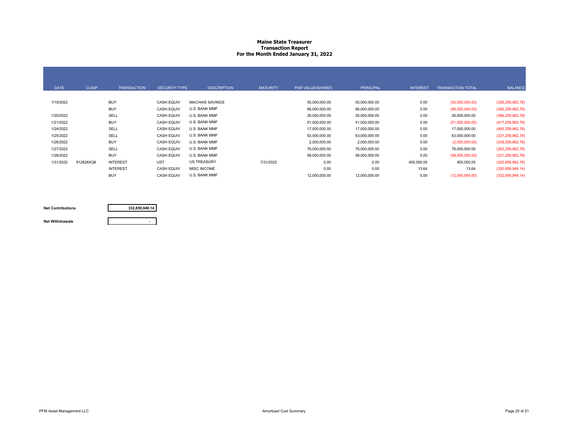#### **Maine State Treasurer Transaction Report For the Month Ended January 31, 2022**

| <b>DATE</b> | <b>CUSIP</b> | <b>TRANSACTION</b> | <b>SECURITY TYPE</b> | <b>DESCRIPTION</b>     | <b>MATURITY</b> | <b>PAR VALUE/SHARES</b> | <b>PRINCIPAL</b> | <b>INTEREST</b> | <b>TRANSACTION TOTAL</b> | <b>BALANCE</b>     |
|-------------|--------------|--------------------|----------------------|------------------------|-----------------|-------------------------|------------------|-----------------|--------------------------|--------------------|
| 1/19/2022   |              | <b>BUY</b>         | <b>CASH EQUIV</b>    | <b>MACHIAS SAVINGS</b> |                 | 50,000,000.00           | 50,000,000.00    | 0.00            | (50,000,000.00)          | (326, 259, 962.78) |
|             |              | <b>BUY</b>         | <b>CASH EQUIV</b>    | U.S. BANK MMF          |                 | 66,000,000.00           | 66,000,000.00    | 0.00            | (66,000,000.00)          | (392, 259, 962.78) |
| 1/20/2022   |              | SELL               | <b>CASH EQUIV</b>    | U.S. BANK MMF          |                 | 26,000,000.00           | 26,000,000.00    | 0.00            | 26,000,000.00            | (366, 259, 962.78) |
| 1/21/2022   |              | <b>BUY</b>         | <b>CASH EQUIV</b>    | U.S. BANK MMF          |                 | 51,000,000.00           | 51,000,000.00    | 0.00            | (51,000,000.00)          | (417, 259, 962.78) |
| 1/24/2022   |              | SELL               | <b>CASH EQUIV</b>    | U.S. BANK MMF          |                 | 17,000,000.00           | 17,000,000.00    | 0.00            | 17,000,000.00            | (400, 259, 962.78) |
| 1/25/2022   |              | SELL               | <b>CASH EQUIV</b>    | U.S. BANK MMF          |                 | 63,000,000.00           | 63,000,000.00    | 0.00            | 63,000,000.00            | (337, 259, 962.78) |
| 1/26/2022   |              | <b>BUY</b>         | <b>CASH EQUIV</b>    | U.S. BANK MMF          |                 | 2,000,000.00            | 2,000,000.00     | 0.00            | (2,000,000.00)           | (339, 259, 962.78) |
| 1/27/2022   |              | SELL               | <b>CASH EQUIV</b>    | U.S. BANK MMF          |                 | 76,000,000.00           | 76,000,000.00    | 0.00            | 76,000,000.00            | (263, 259, 962.78) |
| 1/28/2022   |              | <b>BUY</b>         | <b>CASH EQUIV</b>    | U.S. BANK MMF          |                 | 58,000,000.00           | 58,000,000.00    | 0.00            | (58,000,000.00)          | (321, 259, 962.78) |
| 1/31/2022   | 912828XQ8    | <b>INTEREST</b>    | <b>UST</b>           | <b>US TREASURY</b>     | 7/31/2022       | 0.00                    | 0.00             | 400,000.00      | 400,000.00               | (320, 859, 962.78) |
|             |              | <b>INTEREST</b>    | <b>CASH EQUIV</b>    | <b>MISC INCOME</b>     |                 | 0.00                    | 0.00             | 13.64           | 13.64                    | (320, 859, 949.14) |
|             |              | <b>BUY</b>         | <b>CASH EQUIV</b>    | U.S. BANK MMF          |                 | 12,000,000.00           | 12,000,000.00    | 0.00            | (12,000,000.00)          | (332, 859, 949.14) |

#### **Net Contributions**

**332,859,949.14**

#### **Net Withdrawals**